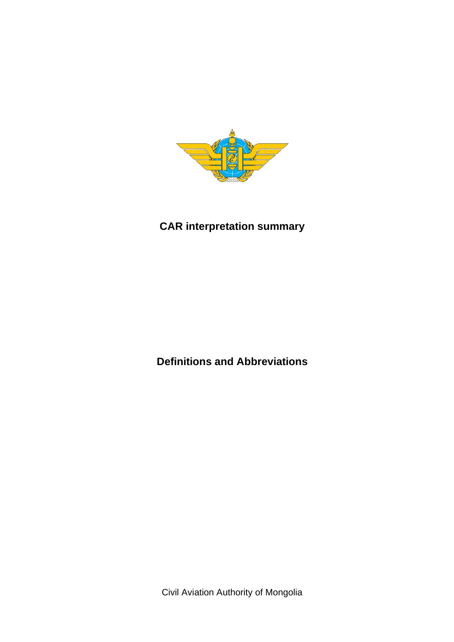

# **CAR interpretation summary**

**Definitions and Abbreviations** 

Civil Aviation Authority of Mongolia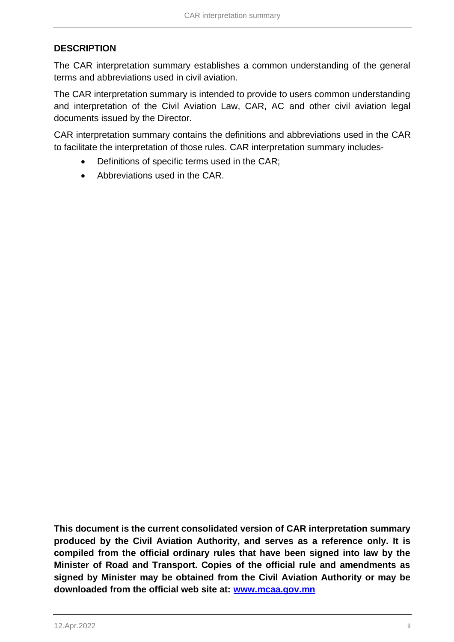### **DESCRIPTION**

The CAR interpretation summary establishes a common understanding of the general terms and abbreviations used in civil aviation.

The CAR interpretation summary is intended to provide to users common understanding and interpretation of the Civil Aviation Law, CAR, AC and other civil aviation legal documents issued by the Director.

CAR interpretation summary contains the definitions and abbreviations used in the CAR to facilitate the interpretation of those rules. CAR interpretation summary includes-

- Definitions of specific terms used in the CAR;
- Abbreviations used in the CAR.

**This document is the current consolidated version of CAR interpretation summary produced by the Civil Aviation Authority, and serves as a reference only. It is compiled from the official ordinary rules that have been signed into law by the Minister of Road and Transport. Copies of the official rule and amendments as signed by Minister may be obtained from the Civil Aviation Authority or may be downloaded from the official web site at: [www.mcaa.gov.mn](http://www.mcaa.gov.mn/)**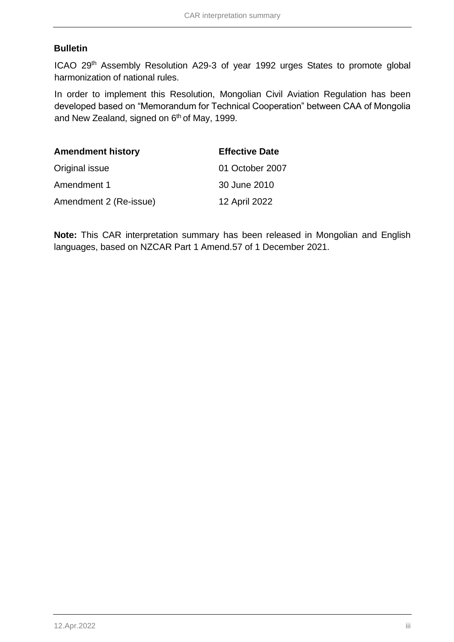### **Bulletin**

ICAO 29<sup>th</sup> Assembly Resolution A29-3 of year 1992 urges States to promote global harmonization of national rules.

In order to implement this Resolution, Mongolian Civil Aviation Regulation has been developed based on "Memorandum for Technical Cooperation" between CAA of Mongolia and New Zealand, signed on 6<sup>th</sup> of May, 1999.

| <b>Amendment history</b> | <b>Effective Date</b> |
|--------------------------|-----------------------|
| Original issue           | 01 October 2007       |
| Amendment 1              | 30 June 2010          |
| Amendment 2 (Re-issue)   | 12 April 2022         |

**Note:** This CAR interpretation summary has been released in Mongolian and English languages, based on NZCAR Part 1 Amend.57 of 1 December 2021.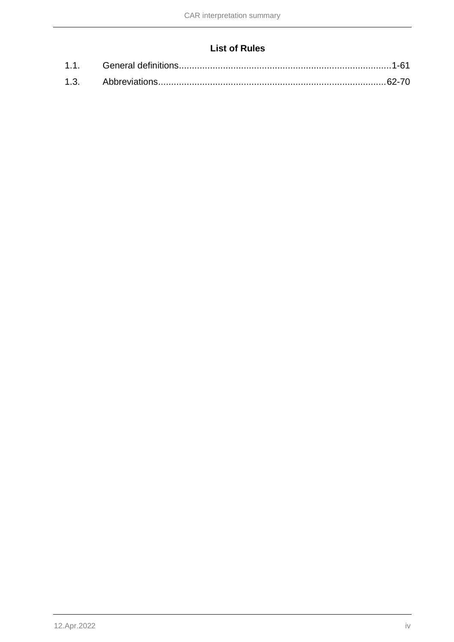## **List of Rules**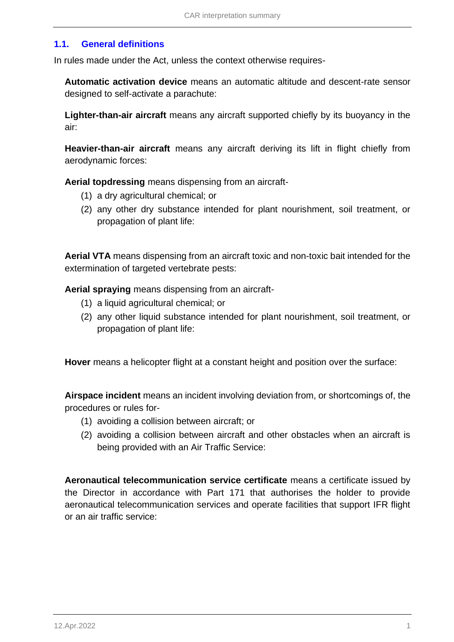### <span id="page-4-0"></span>**1.1. General definitions**

In rules made under the Act, unless the context otherwise requires-

**Automatic activation device** means an automatic altitude and descent-rate sensor designed to self-activate a parachute:

**Lighter-than-air aircraft** means any aircraft supported chiefly by its buoyancy in the air:

**Heavier-than-air aircraft** means any aircraft deriving its lift in flight chiefly from aerodynamic forces:

**Aerial topdressing** means dispensing from an aircraft-

- (1) a dry agricultural chemical; or
- (2) any other dry substance intended for plant nourishment, soil treatment, or propagation of plant life:

**Aerial VTA** means dispensing from an aircraft toxic and non-toxic bait intended for the extermination of targeted vertebrate pests:

**Aerial spraying** means dispensing from an aircraft-

- (1) a liquid agricultural chemical; or
- (2) any other liquid substance intended for plant nourishment, soil treatment, or propagation of plant life:

**Hover** means a helicopter flight at a constant height and position over the surface:

**Airspace incident** means an incident involving deviation from, or shortcomings of, the procedures or rules for-

- (1) avoiding a collision between aircraft; or
- (2) avoiding a collision between aircraft and other obstacles when an aircraft is being provided with an Air Traffic Service:

**Aeronautical telecommunication service certificate** means a certificate issued by the Director in accordance with Part 171 that authorises the holder to provide aeronautical telecommunication services and operate facilities that support IFR flight or an air traffic service: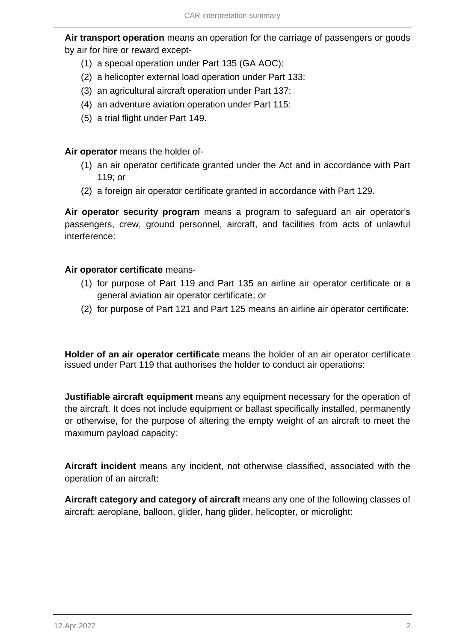**Air transport operation** means an operation for the carriage of passengers or goods by air for hire or reward except-

- (1) a special operation under Part 135 (GA AOC):
- (2) a helicopter external load operation under Part 133:
- (3) an agricultural aircraft operation under Part 137:
- (4) an adventure aviation operation under Part 115:
- (5) a trial flight under Part 149.

**Air operator** means the holder of-

- (1) an air operator certificate granted under the Act and in accordance with Part 119; or
- (2) a foreign air operator certificate granted in accordance with Part 129.

**Air operator security program** means a program to safeguard an air operator's passengers, crew, ground personnel, aircraft, and facilities from acts of unlawful interference:

### **Air operator certificate** means-

- (1) for purpose of Part 119 and Part 135 an airline air operator certificate or a general aviation air operator certificate; or
- (2) for purpose of Part 121 and Part 125 means an airline air operator certificate:

**Holder of an air operator certificate** means the holder of an air operator certificate issued under Part 119 that authorises the holder to conduct air operations:

**Justifiable aircraft equipment** means any equipment necessary for the operation of the aircraft. It does not include equipment or ballast specifically installed, permanently or otherwise, for the purpose of altering the empty weight of an aircraft to meet the maximum payload capacity:

**Aircraft incident** means any incident, not otherwise classified, associated with the operation of an aircraft:

**Aircraft category and category of aircraft** means any one of the following classes of aircraft: aeroplane, balloon, glider, hang glider, helicopter, or microlight: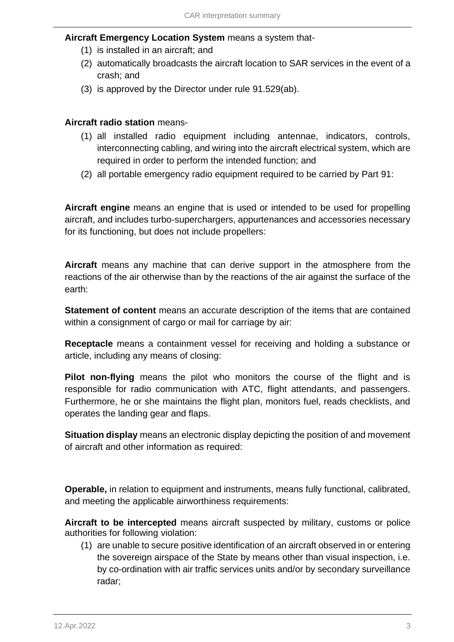### **Aircraft Emergency Location System** means a system that-

- (1) is installed in an aircraft; and
- (2) automatically broadcasts the aircraft location to SAR services in the event of a crash; and
- (3) is approved by the Director under rule 91.529(ab).

### **Aircraft radio station** means-

- (1) all installed radio equipment including antennae, indicators, controls, interconnecting cabling, and wiring into the aircraft electrical system, which are required in order to perform the intended function; and
- (2) all portable emergency radio equipment required to be carried by Part 91:

**Aircraft engine** means an engine that is used or intended to be used for propelling aircraft, and includes turbo-superchargers, appurtenances and accessories necessary for its functioning, but does not include propellers:

**Aircraft** means any machine that can derive support in the atmosphere from the reactions of the air otherwise than by the reactions of the air against the surface of the earth:

**Statement of content** means an accurate description of the items that are contained within a consignment of cargo or mail for carriage by air:

**Receptacle** means a containment vessel for receiving and holding a substance or article, including any means of closing:

**Pilot non-flying** means the pilot who monitors the course of the flight and is responsible for radio communication with ATC, flight attendants, and passengers. Furthermore, he or she maintains the flight plan, monitors fuel, reads checklists, and operates the landing gear and flaps.

**Situation display** means an electronic display depicting the position of and movement of aircraft and other information as required:

**Operable,** in relation to equipment and instruments, means fully functional, calibrated, and meeting the applicable airworthiness requirements:

**Aircraft to be intercepted** means aircraft suspected by military, customs or police authorities for following violation:

(1) are unable to secure positive identification of an aircraft observed in or entering the sovereign airspace of the State by means other than visual inspection, i.e. by co-ordination with air traffic services units and/or by secondary surveillance radar;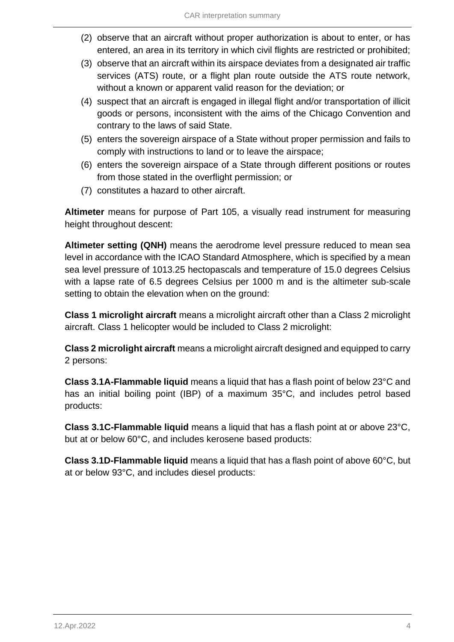- (2) observe that an aircraft without proper authorization is about to enter, or has entered, an area in its territory in which civil flights are restricted or prohibited;
- (3) observe that an aircraft within its airspace deviates from a designated air traffic services (ATS) route, or a flight plan route outside the ATS route network, without a known or apparent valid reason for the deviation; or
- (4) suspect that an aircraft is engaged in illegal flight and/or transportation of illicit goods or persons, inconsistent with the aims of the Chicago Convention and contrary to the laws of said State.
- (5) enters the sovereign airspace of a State without proper permission and fails to comply with instructions to land or to leave the airspace;
- (6) enters the sovereign airspace of a State through different positions or routes from those stated in the overflight permission; or
- (7) constitutes a hazard to other aircraft.

**Altimeter** means for purpose of Part 105, a visually read instrument for measuring height throughout descent:

**Altimeter setting (QNH)** means the aerodrome level pressure reduced to mean sea level in accordance with the ICAO Standard Atmosphere, which is specified by a mean sea level pressure of 1013.25 hectopascals and temperature of 15.0 degrees Celsius with a lapse rate of 6.5 degrees Celsius per 1000 m and is the altimeter sub-scale setting to obtain the elevation when on the ground:

**Class 1 microlight aircraft** means a microlight aircraft other than a Class 2 microlight aircraft. Class 1 helicopter would be included to Class 2 microlight:

**Class 2 microlight aircraft** means a microlight aircraft designed and equipped to carry 2 persons:

**Class 3.1A-Flammable liquid** means a liquid that has a flash point of below 23°C and has an initial boiling point (IBP) of a maximum 35°C, and includes petrol based products:

**Class 3.1C-Flammable liquid** means a liquid that has a flash point at or above 23°C, but at or below 60°C, and includes kerosene based products:

**Class 3.1D-Flammable liquid** means a liquid that has a flash point of above 60°C, but at or below 93°C, and includes diesel products: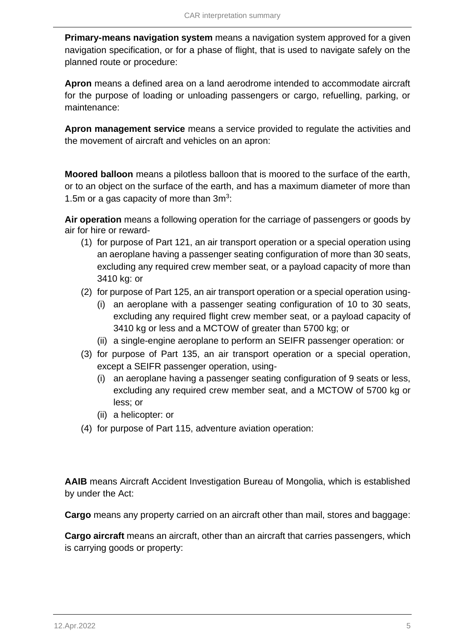**Primary-means navigation system** means a navigation system approved for a given navigation specification, or for a phase of flight, that is used to navigate safely on the planned route or procedure:

**Apron** means a defined area on a land aerodrome intended to accommodate aircraft for the purpose of loading or unloading passengers or cargo, refuelling, parking, or maintenance:

**Apron management service** means a service provided to regulate the activities and the movement of aircraft and vehicles on an apron:

**Moored balloon** means a pilotless balloon that is moored to the surface of the earth, or to an object on the surface of the earth, and has a maximum diameter of more than 1.5m or a gas capacity of more than 3m<sup>3</sup>:

**Air operation** means a following operation for the carriage of passengers or goods by air for hire or reward-

- (1) for purpose of Part 121, an air transport operation or a special operation using an aeroplane having a passenger seating configuration of more than 30 seats, excluding any required crew member seat, or a payload capacity of more than 3410 kg: or
- (2) for purpose of Part 125, an air transport operation or a special operation using-
	- (i) an aeroplane with a passenger seating configuration of 10 to 30 seats, excluding any required flight crew member seat, or a payload capacity of 3410 kg or less and a MCTOW of greater than 5700 kg; or
	- (ii) a single-engine aeroplane to perform an SEIFR passenger operation: or
- (3) for purpose of Part 135, an air transport operation or a special operation, except a SEIFR passenger operation, using-
	- (i) an aeroplane having a passenger seating configuration of 9 seats or less, excluding any required crew member seat, and a MCTOW of 5700 kg or less; or
	- (ii) a helicopter: or
- (4) for purpose of Part 115, adventure aviation operation:

**AAIB** means Aircraft Accident Investigation Bureau of Mongolia, which is established by under the Act:

**Cargo** means any property carried on an aircraft other than mail, stores and baggage:

**Cargo aircraft** means an aircraft, other than an aircraft that carries passengers, which is carrying goods or property: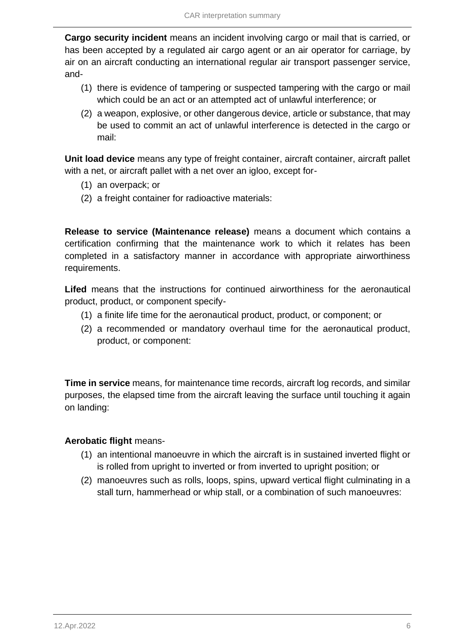**Cargo security incident** means an incident involving cargo or mail that is carried, or has been accepted by a regulated air cargo agent or an air operator for carriage, by air on an aircraft conducting an international regular air transport passenger service, and-

- (1) there is evidence of tampering or suspected tampering with the cargo or mail which could be an act or an attempted act of unlawful interference; or
- (2) a weapon, explosive, or other dangerous device, article or substance, that may be used to commit an act of unlawful interference is detected in the cargo or mail:

**Unit load device** means any type of freight container, aircraft container, aircraft pallet with a net, or aircraft pallet with a net over an igloo, except for-

- (1) an overpack; or
- (2) a freight container for radioactive materials:

**Release to service (Maintenance release)** means a document which contains a certification confirming that the maintenance work to which it relates has been completed in a satisfactory manner in accordance with appropriate airworthiness requirements.

**Lifed** means that the instructions for continued airworthiness for the aeronautical product, product, or component specify-

- (1) a finite life time for the aeronautical product, product, or component; or
- (2) a recommended or mandatory overhaul time for the aeronautical product, product, or component:

**Time in service** means, for maintenance time records, aircraft log records, and similar purposes, the elapsed time from the aircraft leaving the surface until touching it again on landing:

### **Aerobatic flight** means-

- (1) an intentional manoeuvre in which the aircraft is in sustained inverted flight or is rolled from upright to inverted or from inverted to upright position; or
- (2) manoeuvres such as rolls, loops, spins, upward vertical flight culminating in a stall turn, hammerhead or whip stall, or a combination of such manoeuvres: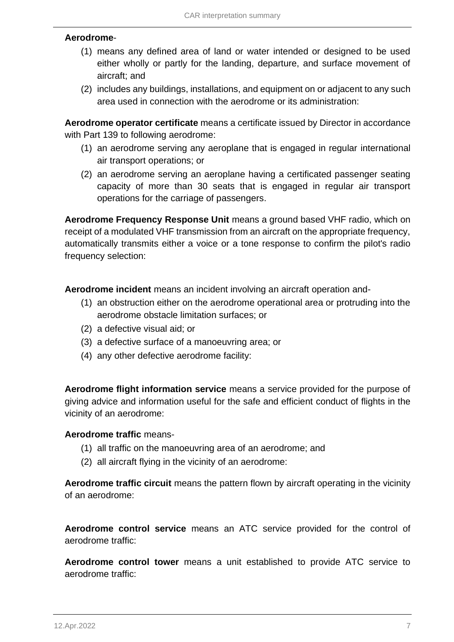### **Aerodrome**-

- (1) means any defined area of land or water intended or designed to be used either wholly or partly for the landing, departure, and surface movement of aircraft; and
- (2) includes any buildings, installations, and equipment on or adjacent to any such area used in connection with the aerodrome or its administration:

**Aerodrome operator certificate** means a certificate issued by Director in accordance with Part 139 to following aerodrome:

- (1) an aerodrome serving any aeroplane that is engaged in regular international air transport operations; or
- (2) an aerodrome serving an aeroplane having a certificated passenger seating capacity of more than 30 seats that is engaged in regular air transport operations for the carriage of passengers.

**Aerodrome Frequency Response Unit** means a ground based VHF radio, which on receipt of a modulated VHF transmission from an aircraft on the appropriate frequency, automatically transmits either a voice or a tone response to confirm the pilot's radio frequency selection:

**Aerodrome incident** means an incident involving an aircraft operation and-

- (1) an obstruction either on the aerodrome operational area or protruding into the aerodrome obstacle limitation surfaces; or
- (2) a defective visual aid; or
- (3) a defective surface of a manoeuvring area; or
- (4) any other defective aerodrome facility:

**Aerodrome flight information service** means a service provided for the purpose of giving advice and information useful for the safe and efficient conduct of flights in the vicinity of an aerodrome:

### **Aerodrome traffic** means-

- (1) all traffic on the manoeuvring area of an aerodrome; and
- (2) all aircraft flying in the vicinity of an aerodrome:

**Aerodrome traffic circuit** means the pattern flown by aircraft operating in the vicinity of an aerodrome:

**Aerodrome control service** means an ATC service provided for the control of aerodrome traffic:

**Aerodrome control tower** means a unit established to provide ATC service to aerodrome traffic: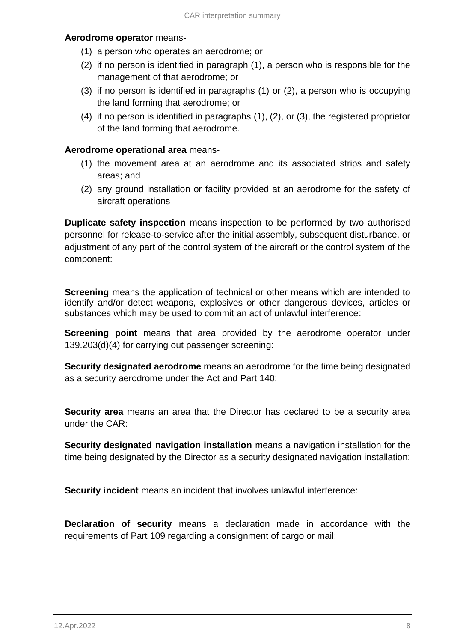#### **Aerodrome operator** means-

- (1) a person who operates an aerodrome; or
- (2) if no person is identified in paragraph (1), a person who is responsible for the management of that aerodrome; or
- (3) if no person is identified in paragraphs (1) or (2), a person who is occupying the land forming that aerodrome; or
- (4) if no person is identified in paragraphs (1), (2), or (3), the registered proprietor of the land forming that aerodrome.

### **Aerodrome operational area** means-

- (1) the movement area at an aerodrome and its associated strips and safety areas; and
- (2) any ground installation or facility provided at an aerodrome for the safety of aircraft operations

**Duplicate safety inspection** means inspection to be performed by two authorised personnel for release-to-service after the initial assembly, subsequent disturbance, or adjustment of any part of the control system of the aircraft or the control system of the component:

**Screening** means the application of technical or other means which are intended to identify and/or detect weapons, explosives or other dangerous devices, articles or substances which may be used to commit an act of unlawful interference:

**Screening point** means that area provided by the aerodrome operator under 139.203(d)(4) for carrying out passenger screening:

**Security designated aerodrome** means an aerodrome for the time being designated as a security aerodrome under the Act and Part 140:

**Security area** means an area that the Director has declared to be a security area under the CAR:

**Security designated navigation installation** means a navigation installation for the time being designated by the Director as a security designated navigation installation:

**Security incident** means an incident that involves unlawful interference:

**Declaration of security** means a declaration made in accordance with the requirements of Part 109 regarding a consignment of cargo or mail: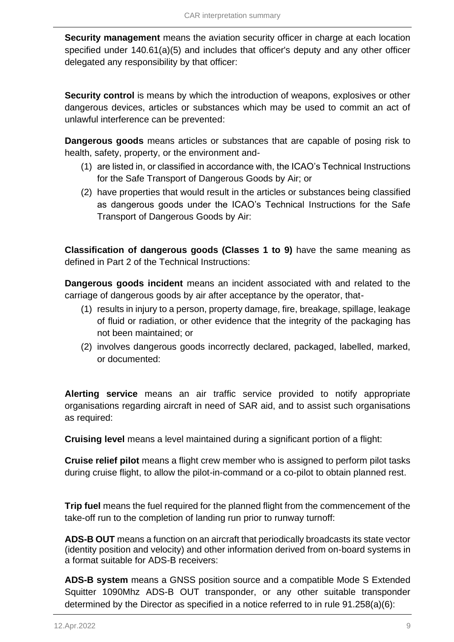**Security management** means the aviation security officer in charge at each location specified under 140.61(a)(5) and includes that officer's deputy and any other officer delegated any responsibility by that officer:

**Security control** is means by which the introduction of weapons, explosives or other dangerous devices, articles or substances which may be used to commit an act of unlawful interference can be prevented:

**Dangerous goods** means articles or substances that are capable of posing risk to health, safety, property, or the environment and-

- (1) are listed in, or classified in accordance with, the ICAO's Technical Instructions for the Safe Transport of Dangerous Goods by Air; or
- (2) have properties that would result in the articles or substances being classified as dangerous goods under the ICAO's Technical Instructions for the Safe Transport of Dangerous Goods by Air:

**Classification of dangerous goods (Classes 1 to 9)** have the same meaning as defined in Part 2 of the Technical Instructions:

**Dangerous goods incident** means an incident associated with and related to the carriage of dangerous goods by air after acceptance by the operator, that-

- (1) results in injury to a person, property damage, fire, breakage, spillage, leakage of fluid or radiation, or other evidence that the integrity of the packaging has not been maintained; or
- (2) involves dangerous goods incorrectly declared, packaged, labelled, marked, or documented:

**Alerting service** means an air traffic service provided to notify appropriate organisations regarding aircraft in need of SAR aid, and to assist such organisations as required:

**Cruising level** means a level maintained during a significant portion of a flight:

**Cruise relief pilot** means a flight crew member who is assigned to perform pilot tasks during cruise flight, to allow the pilot-in-command or a co-pilot to obtain planned rest.

**Trip fuel** means the fuel required for the planned flight from the commencement of the take-off run to the completion of landing run prior to runway turnoff:

**ADS-B OUT** means a function on an aircraft that periodically broadcasts its state vector (identity position and velocity) and other information derived from on-board systems in a format suitable for ADS-B receivers:

**ADS-B system** means a GNSS position source and a compatible Mode S Extended Squitter 1090Mhz ADS-B OUT transponder, or any other suitable transponder determined by the Director as specified in a notice referred to in rule 91.258(a)(6):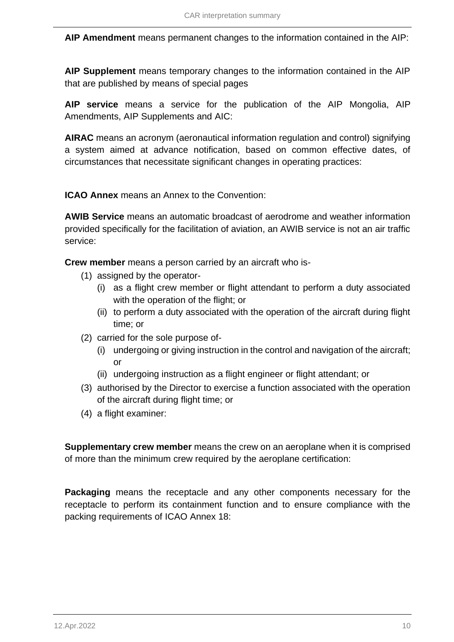**AIP Amendment** means permanent changes to the information contained in the AIP:

**AIP Supplement** means temporary changes to the information contained in the AIP that are published by means of special pages

**AIP service** means a service for the publication of the AIP Mongolia, AIP Amendments, AIP Supplements and AIC:

**AIRAC** means an acronym (aeronautical information regulation and control) signifying a system aimed at advance notification, based on common effective dates, of circumstances that necessitate significant changes in operating practices:

**ICAO Annex** means an Annex to the Convention:

**AWIB Service** means an automatic broadcast of aerodrome and weather information provided specifically for the facilitation of aviation, an AWIB service is not an air traffic service:

**Crew member** means a person carried by an aircraft who is-

- (1) assigned by the operator-
	- (i) as a flight crew member or flight attendant to perform a duty associated with the operation of the flight; or
	- (ii) to perform a duty associated with the operation of the aircraft during flight time; or
- (2) carried for the sole purpose of-
	- (i) undergoing or giving instruction in the control and navigation of the aircraft; or
	- (ii) undergoing instruction as a flight engineer or flight attendant; or
- (3) authorised by the Director to exercise a function associated with the operation of the aircraft during flight time; or
- (4) a flight examiner:

**Supplementary crew member** means the crew on an aeroplane when it is comprised of more than the minimum crew required by the aeroplane certification:

**Packaging** means the receptacle and any other components necessary for the receptacle to perform its containment function and to ensure compliance with the packing requirements of ICAO Annex 18: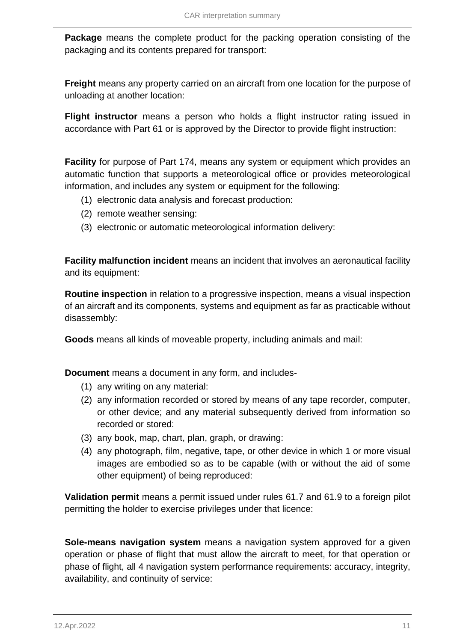**Package** means the complete product for the packing operation consisting of the packaging and its contents prepared for transport:

**Freight** means any property carried on an aircraft from one location for the purpose of unloading at another location:

**Flight instructor** means a person who holds a flight instructor rating issued in accordance with Part 61 or is approved by the Director to provide flight instruction:

**Facility** for purpose of Part 174, means any system or equipment which provides an automatic function that supports a meteorological office or provides meteorological information, and includes any system or equipment for the following:

- (1) electronic data analysis and forecast production:
- (2) remote weather sensing:
- (3) electronic or automatic meteorological information delivery:

**Facility malfunction incident** means an incident that involves an aeronautical facility and its equipment:

**Routine inspection** in relation to a progressive inspection, means a visual inspection of an aircraft and its components, systems and equipment as far as practicable without disassembly:

**Goods** means all kinds of moveable property, including animals and mail:

**Document** means a document in any form, and includes-

- (1) any writing on any material:
- (2) any information recorded or stored by means of any tape recorder, computer, or other device; and any material subsequently derived from information so recorded or stored:
- (3) any book, map, chart, plan, graph, or drawing:
- (4) any photograph, film, negative, tape, or other device in which 1 or more visual images are embodied so as to be capable (with or without the aid of some other equipment) of being reproduced:

**Validation permit** means a permit issued under rules 61.7 and 61.9 to a foreign pilot permitting the holder to exercise privileges under that licence:

**Sole-means navigation system** means a navigation system approved for a given operation or phase of flight that must allow the aircraft to meet, for that operation or phase of flight, all 4 navigation system performance requirements: accuracy, integrity, availability, and continuity of service: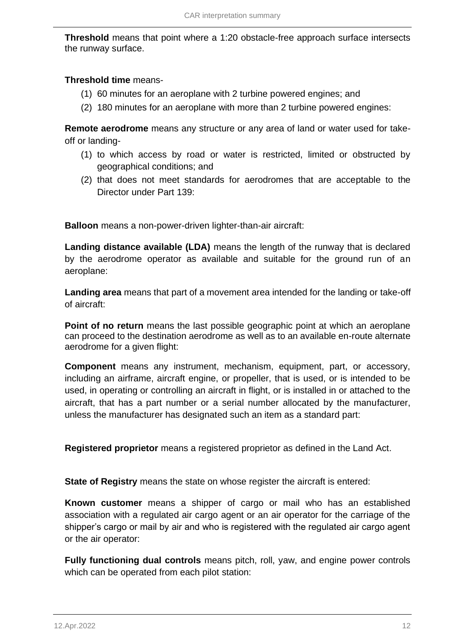**Threshold** means that point where a 1:20 obstacle-free approach surface intersects the runway surface.

### **Threshold time** means-

- (1) 60 minutes for an aeroplane with 2 turbine powered engines; and
- (2) 180 minutes for an aeroplane with more than 2 turbine powered engines:

**Remote aerodrome** means any structure or any area of land or water used for takeoff or landing-

- (1) to which access by road or water is restricted, limited or obstructed by geographical conditions; and
- (2) that does not meet standards for aerodromes that are acceptable to the Director under Part 139:

**Balloon** means a non-power-driven lighter-than-air aircraft:

**Landing distance available (LDA)** means the length of the runway that is declared by the aerodrome operator as available and suitable for the ground run of an aeroplane:

**Landing area** means that part of a movement area intended for the landing or take-off of aircraft:

**Point of no return** means the last possible geographic point at which an aeroplane can proceed to the destination aerodrome as well as to an available en-route alternate aerodrome for a given flight:

**Component** means any instrument, mechanism, equipment, part, or accessory, including an airframe, aircraft engine, or propeller, that is used, or is intended to be used, in operating or controlling an aircraft in flight, or is installed in or attached to the aircraft, that has a part number or a serial number allocated by the manufacturer, unless the manufacturer has designated such an item as a standard part:

**Registered proprietor** means a registered proprietor as defined in the Land Act.

**State of Registry** means the state on whose register the aircraft is entered:

**Known customer** means a shipper of cargo or mail who has an established association with a regulated air cargo agent or an air operator for the carriage of the shipper's cargo or mail by air and who is registered with the regulated air cargo agent or the air operator:

**Fully functioning dual controls** means pitch, roll, yaw, and engine power controls which can be operated from each pilot station: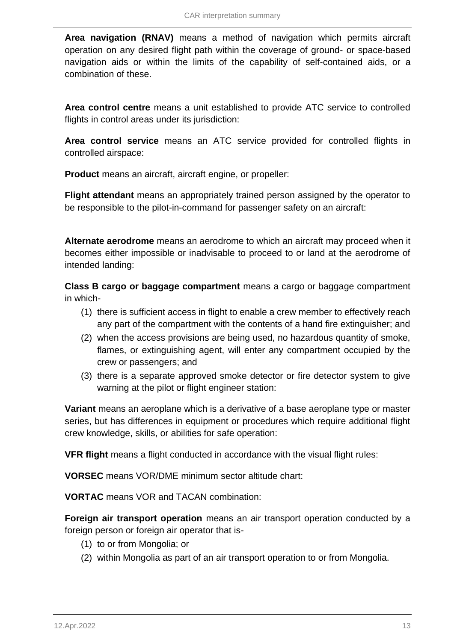**Area navigation (RNAV)** means a method of navigation which permits aircraft operation on any desired flight path within the coverage of ground- or space-based navigation aids or within the limits of the capability of self-contained aids, or a combination of these.

**Area control centre** means a unit established to provide ATC service to controlled flights in control areas under its jurisdiction:

**Area control service** means an ATC service provided for controlled flights in controlled airspace:

**Product** means an aircraft, aircraft engine, or propeller:

**Flight attendant** means an appropriately trained person assigned by the operator to be responsible to the pilot-in-command for passenger safety on an aircraft:

**Alternate aerodrome** means an aerodrome to which an aircraft may proceed when it becomes either impossible or inadvisable to proceed to or land at the aerodrome of intended landing:

**Class B cargo or baggage compartment** means a cargo or baggage compartment in which-

- (1) there is sufficient access in flight to enable a crew member to effectively reach any part of the compartment with the contents of a hand fire extinguisher; and
- (2) when the access provisions are being used, no hazardous quantity of smoke, flames, or extinguishing agent, will enter any compartment occupied by the crew or passengers; and
- (3) there is a separate approved smoke detector or fire detector system to give warning at the pilot or flight engineer station:

**Variant** means an aeroplane which is a derivative of a base aeroplane type or master series, but has differences in equipment or procedures which require additional flight crew knowledge, skills, or abilities for safe operation:

**VFR flight** means a flight conducted in accordance with the visual flight rules:

**VORSEC** means VOR/DME minimum sector altitude chart:

**VORTAC** means VOR and TACAN combination:

**Foreign air transport operation** means an air transport operation conducted by a foreign person or foreign air operator that is-

- (1) to or from Mongolia; or
- (2) within Mongolia as part of an air transport operation to or from Mongolia.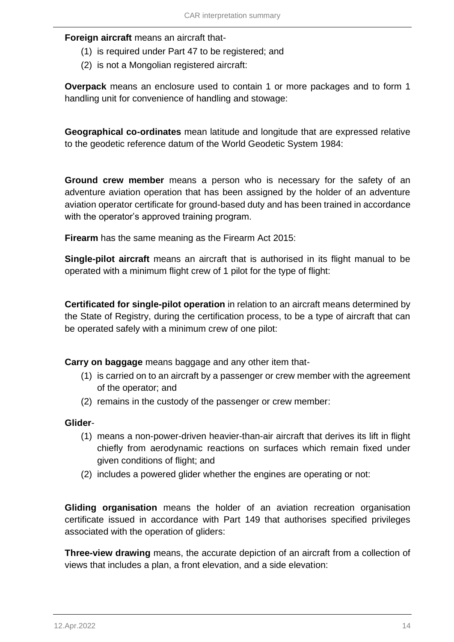### **Foreign aircraft** means an aircraft that-

- (1) is required under Part 47 to be registered; and
- (2) is not a Mongolian registered aircraft:

**Overpack** means an enclosure used to contain 1 or more packages and to form 1 handling unit for convenience of handling and stowage:

**Geographical co-ordinates** mean latitude and longitude that are expressed relative to the geodetic reference datum of the World Geodetic System 1984:

**Ground crew member** means a person who is necessary for the safety of an adventure aviation operation that has been assigned by the holder of an adventure aviation operator certificate for ground-based duty and has been trained in accordance with the operator's approved training program.

**Firearm** has the same meaning as the Firearm Act 2015:

**Single-pilot aircraft** means an aircraft that is authorised in its flight manual to be operated with a minimum flight crew of 1 pilot for the type of flight:

**Certificated for single-pilot operation** in relation to an aircraft means determined by the State of Registry, during the certification process, to be a type of aircraft that can be operated safely with a minimum crew of one pilot:

**Carry on baggage** means baggage and any other item that-

- (1) is carried on to an aircraft by a passenger or crew member with the agreement of the operator; and
- (2) remains in the custody of the passenger or crew member:

#### **Glider**-

- (1) means a non-power-driven heavier-than-air aircraft that derives its lift in flight chiefly from aerodynamic reactions on surfaces which remain fixed under given conditions of flight; and
- (2) includes a powered glider whether the engines are operating or not:

**Gliding organisation** means the holder of an aviation recreation organisation certificate issued in accordance with Part 149 that authorises specified privileges associated with the operation of gliders:

**Three-view drawing** means, the accurate depiction of an aircraft from a collection of views that includes a plan, a front elevation, and a side elevation: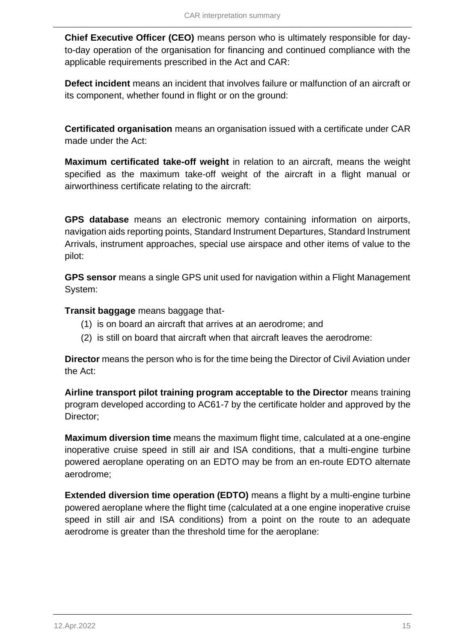**Chief Executive Officer (CEO)** means person who is ultimately responsible for dayto-day operation of the organisation for financing and continued compliance with the applicable requirements prescribed in the Act and CAR:

**Defect incident** means an incident that involves failure or malfunction of an aircraft or its component, whether found in flight or on the ground:

**Certificated organisation** means an organisation issued with a certificate under CAR made under the Act:

**Maximum certificated take-off weight** in relation to an aircraft, means the weight specified as the maximum take-off weight of the aircraft in a flight manual or airworthiness certificate relating to the aircraft:

**GPS database** means an electronic memory containing information on airports, navigation aids reporting points, Standard Instrument Departures, Standard Instrument Arrivals, instrument approaches, special use airspace and other items of value to the pilot:

**GPS sensor** means a single GPS unit used for navigation within a Flight Management System:

**Transit baggage** means baggage that-

- (1) is on board an aircraft that arrives at an aerodrome; and
- (2) is still on board that aircraft when that aircraft leaves the aerodrome:

**Director** means the person who is for the time being the Director of Civil Aviation under the Act:

**Airline transport pilot training program acceptable to the Director** means training program developed according to AC61-7 by the certificate holder and approved by the Director;

**Maximum diversion time** means the maximum flight time, calculated at a one-engine inoperative cruise speed in still air and ISA conditions, that a multi-engine turbine powered aeroplane operating on an EDTO may be from an en-route EDTO alternate aerodrome;

**Extended diversion time operation (EDTO)** means a flight by a multi-engine turbine powered aeroplane where the flight time (calculated at a one engine inoperative cruise speed in still air and ISA conditions) from a point on the route to an adequate aerodrome is greater than the threshold time for the aeroplane: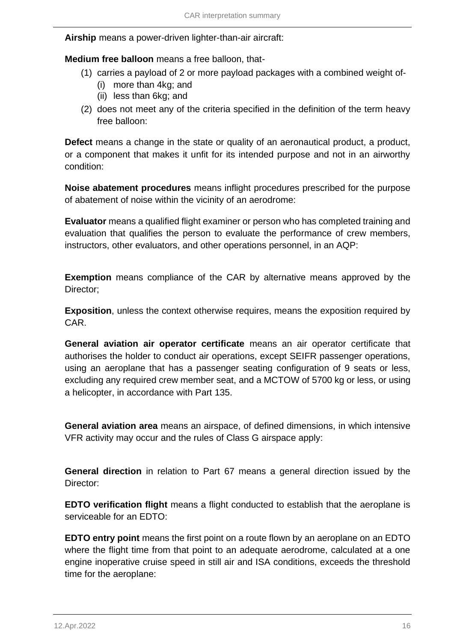**Airship** means a power-driven lighter-than-air aircraft:

**Medium free balloon** means a free balloon, that-

- (1) carries a payload of 2 or more payload packages with a combined weight of-
	- (i) more than 4kg; and
	- (ii) less than 6kg; and
- (2) does not meet any of the criteria specified in the definition of the term heavy free balloon:

**Defect** means a change in the state or quality of an aeronautical product, a product, or a component that makes it unfit for its intended purpose and not in an airworthy condition:

**Noise abatement procedures** means inflight procedures prescribed for the purpose of abatement of noise within the vicinity of an aerodrome:

**Evaluator** means a qualified flight examiner or person who has completed training and evaluation that qualifies the person to evaluate the performance of crew members, instructors, other evaluators, and other operations personnel, in an AQP:

**Exemption** means compliance of the CAR by alternative means approved by the Director;

**Exposition**, unless the context otherwise requires, means the exposition required by CAR.

**General aviation air operator certificate** means an air operator certificate that authorises the holder to conduct air operations, except SEIFR passenger operations, using an aeroplane that has a passenger seating configuration of 9 seats or less, excluding any required crew member seat, and a MCTOW of 5700 kg or less, or using a helicopter, in accordance with Part 135.

**General aviation area** means an airspace, of defined dimensions, in which intensive VFR activity may occur and the rules of Class G airspace apply:

**General direction** in relation to Part 67 means a general direction issued by the Director:

**EDTO verification flight** means a flight conducted to establish that the aeroplane is serviceable for an EDTO:

**EDTO entry point** means the first point on a route flown by an aeroplane on an EDTO where the flight time from that point to an adequate aerodrome, calculated at a one engine inoperative cruise speed in still air and ISA conditions, exceeds the threshold time for the aeroplane: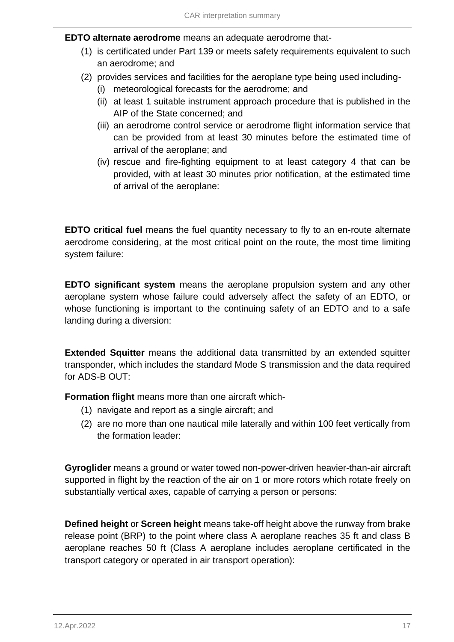**EDTO alternate aerodrome** means an adequate aerodrome that-

- (1) is certificated under Part 139 or meets safety requirements equivalent to such an aerodrome; and
- (2) provides services and facilities for the aeroplane type being used including-
	- (i) meteorological forecasts for the aerodrome; and
	- (ii) at least 1 suitable instrument approach procedure that is published in the AIP of the State concerned; and
	- (iii) an aerodrome control service or aerodrome flight information service that can be provided from at least 30 minutes before the estimated time of arrival of the aeroplane; and
	- (iv) rescue and fire-fighting equipment to at least category 4 that can be provided, with at least 30 minutes prior notification, at the estimated time of arrival of the aeroplane:

**EDTO critical fuel** means the fuel quantity necessary to fly to an en-route alternate aerodrome considering, at the most critical point on the route, the most time limiting system failure:

**EDTO significant system** means the aeroplane propulsion system and any other aeroplane system whose failure could adversely affect the safety of an EDTO, or whose functioning is important to the continuing safety of an EDTO and to a safe landing during a diversion:

**Extended Squitter** means the additional data transmitted by an extended squitter transponder, which includes the standard Mode S transmission and the data required for ADS-B OUT:

**Formation flight** means more than one aircraft which-

- (1) navigate and report as a single aircraft; and
- (2) are no more than one nautical mile laterally and within 100 feet vertically from the formation leader:

**Gyroglider** means a ground or water towed non-power-driven heavier-than-air aircraft supported in flight by the reaction of the air on 1 or more rotors which rotate freely on substantially vertical axes, capable of carrying a person or persons:

**Defined height** or **Screen height** means take-off height above the runway from brake release point (BRP) to the point where class A aeroplane reaches 35 ft and class B aeroplane reaches 50 ft (Class A aeroplane includes aeroplane certificated in the transport category or operated in air transport operation):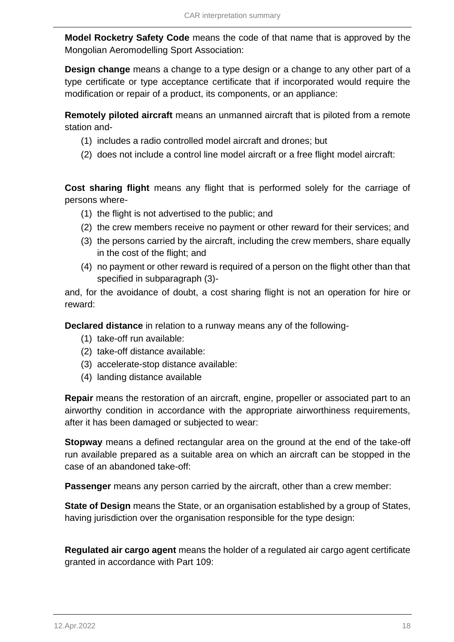**Model Rocketry Safety Code** means the code of that name that is approved by the Mongolian Aeromodelling Sport Association:

**Design change** means a change to a type design or a change to any other part of a type certificate or type acceptance certificate that if incorporated would require the modification or repair of a product, its components, or an appliance:

**Remotely piloted aircraft** means an unmanned aircraft that is piloted from a remote station and-

- (1) includes a radio controlled model aircraft and drones; but
- (2) does not include a control line model aircraft or a free flight model aircraft:

**Cost sharing flight** means any flight that is performed solely for the carriage of persons where-

- (1) the flight is not advertised to the public; and
- (2) the crew members receive no payment or other reward for their services; and
- (3) the persons carried by the aircraft, including the crew members, share equally in the cost of the flight; and
- (4) no payment or other reward is required of a person on the flight other than that specified in subparagraph (3)-

and, for the avoidance of doubt, a cost sharing flight is not an operation for hire or reward:

**Declared distance** in relation to a runway means any of the following-

- (1) take-off run available:
- (2) take-off distance available:
- (3) accelerate-stop distance available:
- (4) landing distance available

**Repair** means the restoration of an aircraft, engine, propeller or associated part to an airworthy condition in accordance with the appropriate airworthiness requirements, after it has been damaged or subjected to wear:

**Stopway** means a defined rectangular area on the ground at the end of the take-off run available prepared as a suitable area on which an aircraft can be stopped in the case of an abandoned take-off:

**Passenger** means any person carried by the aircraft, other than a crew member:

**State of Design** means the State, or an organisation established by a group of States, having jurisdiction over the organisation responsible for the type design:

**Regulated air cargo agent** means the holder of a regulated air cargo agent certificate granted in accordance with Part 109: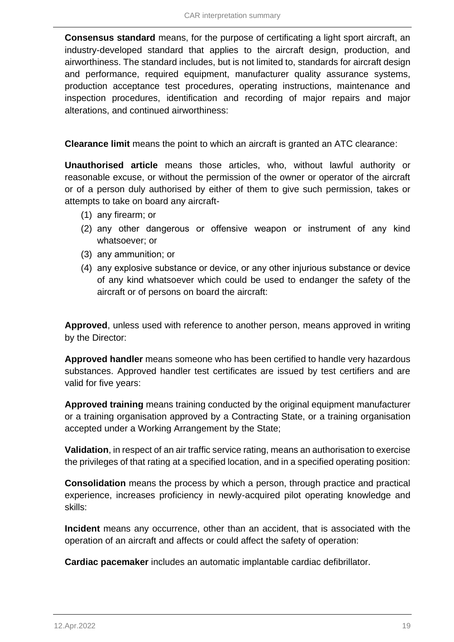**Consensus standard** means, for the purpose of certificating a light sport aircraft, an industry-developed standard that applies to the aircraft design, production, and airworthiness. The standard includes, but is not limited to, standards for aircraft design and performance, required equipment, manufacturer quality assurance systems, production acceptance test procedures, operating instructions, maintenance and inspection procedures, identification and recording of major repairs and major alterations, and continued airworthiness:

**Clearance limit** means the point to which an aircraft is granted an ATC clearance:

**Unauthorised article** means those articles, who, without lawful authority or reasonable excuse, or without the permission of the owner or operator of the aircraft or of a person duly authorised by either of them to give such permission, takes or attempts to take on board any aircraft-

- (1) аny firearm; or
- (2) аny other dangerous or offensive weapon or instrument of any kind whatsoever; or
- (3) аny ammunition; or
- (4) аny explosive substance or device, or any other injurious substance or device of any kind whatsoever which could be used to endanger the safety of the aircraft or of persons on board the aircraft:

**Approved**, unless used with reference to another person, means approved in writing by the Director:

**Approved handler** means someone who has been certified to handle very hazardous substances. Approved handler test certificates are issued by test certifiers and are valid for five years:

**Approved training** means training conducted by the original equipment manufacturer or a training organisation approved by a Contracting State, or a training organisation accepted under a Working Arrangement by the State;

**Validation**, in respect of an air traffic service rating, means an authorisation to exercise the privileges of that rating at a specified location, and in a specified operating position:

**Consolidation** means the process by which a person, through practice and practical experience, increases proficiency in newly-acquired pilot operating knowledge and skills:

**Incident** means any occurrence, other than an accident, that is associated with the operation of an aircraft and affects or could affect the safety of operation:

**Cardiac pacemaker** includes an automatic implantable cardiac defibrillator.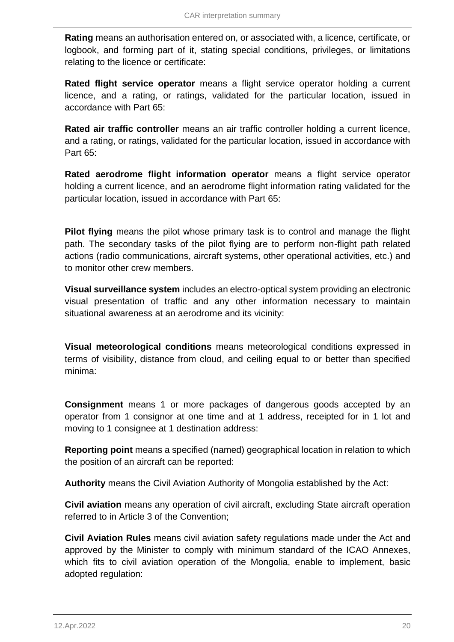**Rating** means an authorisation entered on, or associated with, a licence, certificate, or logbook, and forming part of it, stating special conditions, privileges, or limitations relating to the licence or certificate:

**Rated flight service operator** means a flight service operator holding a current licence, and a rating, or ratings, validated for the particular location, issued in accordance with Part 65:

**Rated air traffic controller** means an air traffic controller holding a current licence, and a rating, or ratings, validated for the particular location, issued in accordance with Part 65:

**Rated aerodrome flight information operator** means a flight service operator holding a current licence, and an aerodrome flight information rating validated for the particular location, issued in accordance with Part 65:

**Pilot flying** means the pilot whose primary task is to control and manage the flight path. The secondary tasks of the pilot flying are to perform non-flight path related actions (radio communications, aircraft systems, other operational activities, etc.) and to monitor other crew members.

**Visual surveillance system** includes an electro-optical system providing an electronic visual presentation of traffic and any other information necessary to maintain situational awareness at an aerodrome and its vicinity:

**Visual meteorological conditions** means meteorological conditions expressed in terms of visibility, distance from cloud, and ceiling equal to or better than specified minima:

**Consignment** means 1 or more packages of dangerous goods accepted by an operator from 1 consignor at one time and at 1 address, receipted for in 1 lot and moving to 1 consignee at 1 destination address:

**Reporting point** means a specified (named) geographical location in relation to which the position of an aircraft can be reported:

**Authority** means the Civil Aviation Authority of Mongolia established by the Act:

**Civil aviation** means any operation of civil aircraft, excluding State aircraft operation referred to in Article 3 of the Convention;

**Civil Aviation Rules** means civil aviation safety regulations made under the Act and approved by the Minister to comply with minimum standard of the ICAO Annexes, which fits to civil aviation operation of the Mongolia, enable to implement, basic adopted regulation: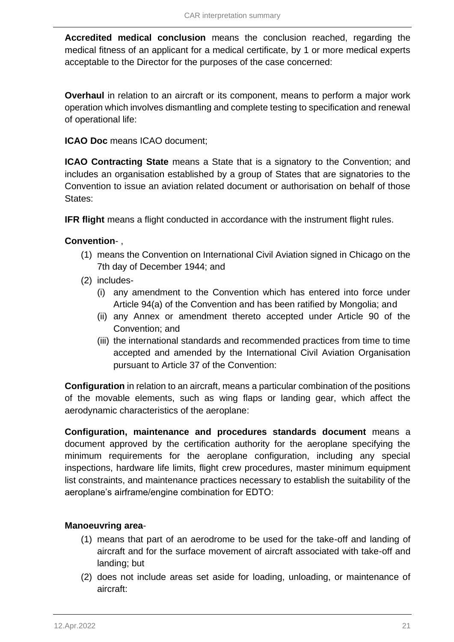**Accredited medical conclusion** means the conclusion reached, regarding the medical fitness of an applicant for a medical certificate, by 1 or more medical experts acceptable to the Director for the purposes of the case concerned:

**Overhaul** in relation to an aircraft or its component, means to perform a major work operation which involves dismantling and complete testing to specification and renewal of operational life:

**ICAO Doc** means ICAO document;

**ICAO Contracting State** means a State that is a signatory to the Convention; and includes an organisation established by a group of States that are signatories to the Convention to issue an aviation related document or authorisation on behalf of those States:

**IFR flight** means a flight conducted in accordance with the instrument flight rules.

### **Convention**- ,

- (1) means the Convention on International Civil Aviation signed in Chicago on the 7th day of December 1944; and
- (2) includes-
	- (i) any amendment to the Convention which has entered into force under Article 94(a) of the Convention and has been ratified by Mongolia; and
	- (ii) any Annex or amendment thereto accepted under Article 90 of the Convention; and
	- (iii) the international standards and recommended practices from time to time accepted and amended by the International Civil Aviation Organisation pursuant to Article 37 of the Convention:

**Configuration** in relation to an aircraft, means a particular combination of the positions of the movable elements, such as wing flaps or landing gear, which affect the aerodynamic characteristics of the aeroplane:

**Configuration, maintenance and procedures standards document** means a document approved by the certification authority for the aeroplane specifying the minimum requirements for the aeroplane configuration, including any special inspections, hardware life limits, flight crew procedures, master minimum equipment list constraints, and maintenance practices necessary to establish the suitability of the aeroplane's airframe/engine combination for EDTO:

### **Manoeuvring area**-

- (1) means that part of an aerodrome to be used for the take-off and landing of aircraft and for the surface movement of aircraft associated with take-off and landing; but
- (2) does not include areas set aside for loading, unloading, or maintenance of aircraft: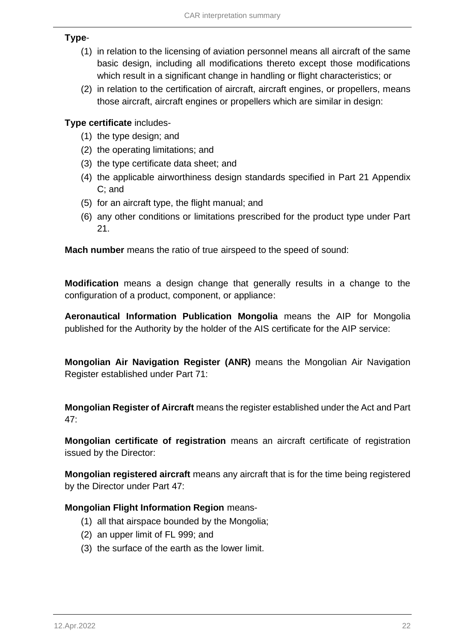### **Type**-

- (1) in relation to the licensing of aviation personnel means all aircraft of the same basic design, including all modifications thereto except those modifications which result in a significant change in handling or flight characteristics; or
- (2) in relation to the certification of aircraft, aircraft engines, or propellers, means those aircraft, aircraft engines or propellers which are similar in design:

### **Type certificate** includes-

- (1) the type design; and
- (2) the operating limitations; and
- (3) the type certificate data sheet; and
- (4) the applicable airworthiness design standards specified in Part 21 Appendix C; and
- (5) for an aircraft type, the flight manual; and
- (6) any other conditions or limitations prescribed for the product type under Part 21.

**Mach number** means the ratio of true airspeed to the speed of sound:

**Modification** means a design change that generally results in a change to the configuration of a product, component, or appliance:

**Aeronautical Information Publication Mongolia** means the AIP for Mongolia published for the Authority by the holder of the AIS certificate for the AIP service:

**Mongolian Air Navigation Register (ANR)** means the Mongolian Air Navigation Register established under Part 71:

**Mongolian Register of Aircraft** means the register established under the Act and Part 47:

**Mongolian certificate of registration** means an aircraft certificate of registration issued by the Director:

**Mongolian registered aircraft** means any aircraft that is for the time being registered by the Director under Part 47:

### **Mongolian Flight Information Region** means-

- (1) all that airspace bounded by the Mongolia;
- (2) an upper limit of FL 999; and
- (3) the surface of the earth as the lower limit.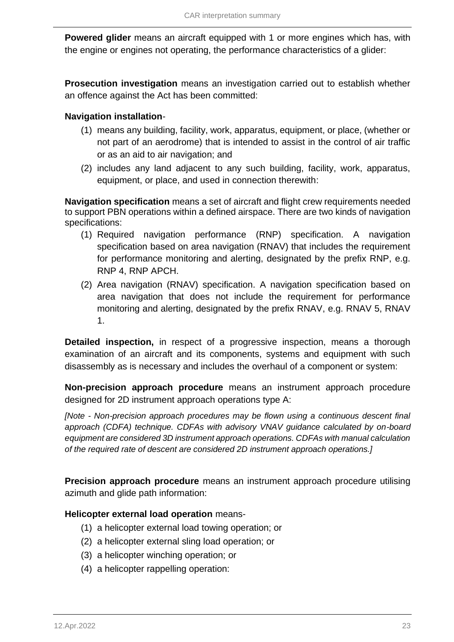**Powered glider** means an aircraft equipped with 1 or more engines which has, with the engine or engines not operating, the performance characteristics of a glider:

**Prosecution investigation** means an investigation carried out to establish whether an offence against the Act has been committed:

### **Navigation installation**-

- (1) means any building, facility, work, apparatus, equipment, or place, (whether or not part of an aerodrome) that is intended to assist in the control of air traffic or as an aid to air navigation; and
- (2) includes any land adjacent to any such building, facility, work, apparatus, equipment, or place, and used in connection therewith:

**Navigation specification** means a set of aircraft and flight crew requirements needed to support PBN operations within a defined airspace. There are two kinds of navigation specifications:

- (1) Required navigation performance (RNP) specification. A navigation specification based on area navigation (RNAV) that includes the requirement for performance monitoring and alerting, designated by the prefix RNP, e.g. RNP 4, RNP APCH.
- (2) Area navigation (RNAV) specification. A navigation specification based on area navigation that does not include the requirement for performance monitoring and alerting, designated by the prefix RNAV, e.g. RNAV 5, RNAV 1.

**Detailed inspection,** in respect of a progressive inspection, means a thorough examination of an aircraft and its components, systems and equipment with such disassembly as is necessary and includes the overhaul of a component or system:

**Non-precision approach procedure** means an instrument approach procedure designed for 2D instrument approach operations type A:

*[Note - Non-precision approach procedures may be flown using a continuous descent final approach (CDFA) technique. CDFAs with advisory VNAV guidance calculated by on-board equipment are considered 3D instrument approach operations. CDFAs with manual calculation of the required rate of descent are considered 2D instrument approach operations.]*

**Precision approach procedure** means an instrument approach procedure utilising azimuth and glide path information:

### **Helicopter external load operation** means-

- (1) a helicopter external load towing operation; or
- (2) a helicopter external sling load operation; or
- (3) a helicopter winching operation; or
- (4) a helicopter rappelling operation: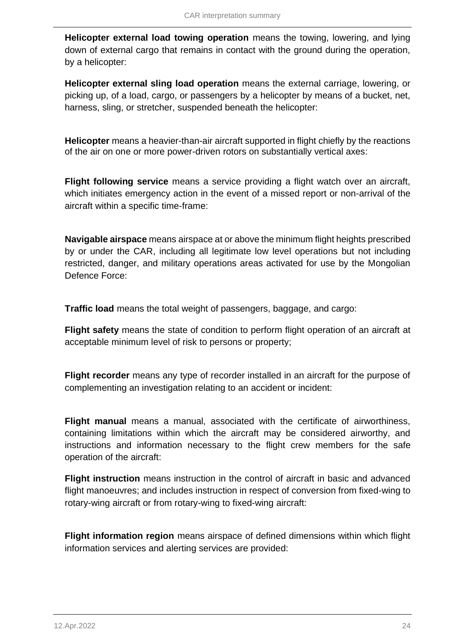**Helicopter external load towing operation** means the towing, lowering, and lying down of external cargo that remains in contact with the ground during the operation, by a helicopter:

**Helicopter external sling load operation** means the external carriage, lowering, or picking up, of a load, cargo, or passengers by a helicopter by means of a bucket, net, harness, sling, or stretcher, suspended beneath the helicopter:

**Helicopter** means a heavier-than-air aircraft supported in flight chiefly by the reactions of the air on one or more power-driven rotors on substantially vertical axes:

**Flight following service** means a service providing a flight watch over an aircraft, which initiates emergency action in the event of a missed report or non-arrival of the aircraft within a specific time-frame:

**Navigable airspace** means airspace at or above the minimum flight heights prescribed by or under the CAR, including all legitimate low level operations but not including restricted, danger, and military operations areas activated for use by the Mongolian Defence Force:

**Traffic load** means the total weight of passengers, baggage, and cargo:

**Flight safety** means the state of condition to perform flight operation of an aircraft at acceptable minimum level of risk to persons or property;

**Flight recorder** means any type of recorder installed in an aircraft for the purpose of complementing an investigation relating to an accident or incident:

**Flight manual** means a manual, associated with the certificate of airworthiness, containing limitations within which the aircraft may be considered airworthy, and instructions and information necessary to the flight crew members for the safe operation of the aircraft:

**Flight instruction** means instruction in the control of aircraft in basic and advanced flight manoeuvres; and includes instruction in respect of conversion from fixed-wing to rotary-wing aircraft or from rotary-wing to fixed-wing aircraft:

**Flight information region** means airspace of defined dimensions within which flight information services and alerting services are provided: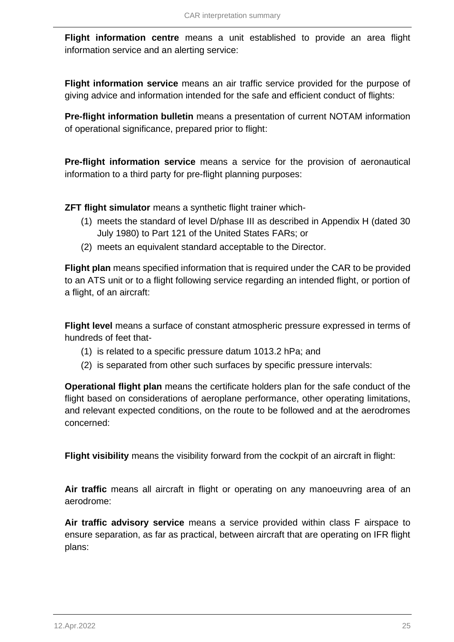**Flight information centre** means a unit established to provide an area flight information service and an alerting service:

**Flight information service** means an air traffic service provided for the purpose of giving advice and information intended for the safe and efficient conduct of flights:

**Pre-flight information bulletin** means a presentation of current NOTAM information of operational significance, prepared prior to flight:

**Pre-flight information service** means a service for the provision of aeronautical information to a third party for pre-flight planning purposes:

**ZFT flight simulator** means a synthetic flight trainer which-

- (1) meets the standard of level D/phase III as described in Appendix H (dated 30 July 1980) to Part 121 of the United States FARs; or
- (2) meets an equivalent standard acceptable to the Director.

**Flight plan** means specified information that is required under the CAR to be provided to an ATS unit or to a flight following service regarding an intended flight, or portion of a flight, of an aircraft:

**Flight level** means a surface of constant atmospheric pressure expressed in terms of hundreds of feet that-

- (1) is related to a specific pressure datum 1013.2 hPa; and
- (2) is separated from other such surfaces by specific pressure intervals:

**Operational flight plan** means the certificate holders plan for the safe conduct of the flight based on considerations of aeroplane performance, other operating limitations, and relevant expected conditions, on the route to be followed and at the aerodromes concerned:

**Flight visibility** means the visibility forward from the cockpit of an aircraft in flight:

**Air traffic** means all aircraft in flight or operating on any manoeuvring area of an aerodrome:

**Air traffic advisory service** means a service provided within class F airspace to ensure separation, as far as practical, between aircraft that are operating on IFR flight plans: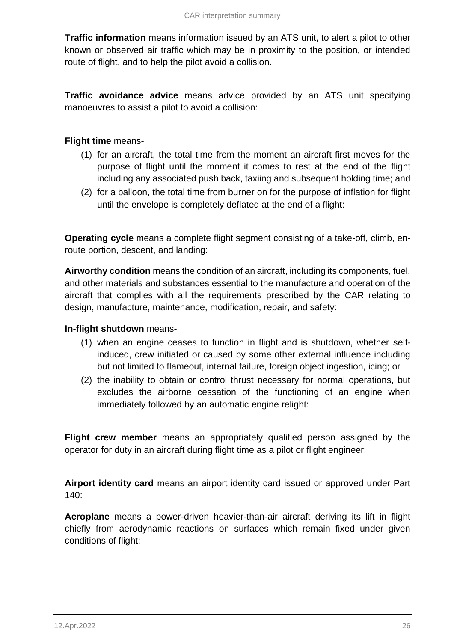**Traffic information** means information issued by an ATS unit, to alert a pilot to other known or observed air traffic which may be in proximity to the position, or intended route of flight, and to help the pilot avoid a collision.

**Traffic avoidance advice** means advice provided by an ATS unit specifying manoeuvres to assist a pilot to avoid a collision:

**Flight time** means-

- (1) for an aircraft, the total time from the moment an aircraft first moves for the purpose of flight until the moment it comes to rest at the end of the flight including any associated push back, taxiing and subsequent holding time; and
- (2) for a balloon, the total time from burner on for the purpose of inflation for flight until the envelope is completely deflated at the end of a flight:

**Operating cycle** means a complete flight segment consisting of a take-off, climb, enroute portion, descent, and landing:

**Airworthy condition** means the condition of an aircraft, including its components, fuel, and other materials and substances essential to the manufacture and operation of the aircraft that complies with all the requirements prescribed by the CAR relating to design, manufacture, maintenance, modification, repair, and safety:

### **In-flight shutdown** means-

- (1) when an engine ceases to function in flight and is shutdown, whether selfinduced, crew initiated or caused by some other external influence including but not limited to flameout, internal failure, foreign object ingestion, icing; or
- (2) the inability to obtain or control thrust necessary for normal operations, but excludes the airborne cessation of the functioning of an engine when immediately followed by an automatic engine relight:

**Flight crew member** means an appropriately qualified person assigned by the operator for duty in an aircraft during flight time as a pilot or flight engineer:

**Airport identity card** means an airport identity card issued or approved under Part 140:

**Aeroplane** means a power-driven heavier-than-air aircraft deriving its lift in flight chiefly from aerodynamic reactions on surfaces which remain fixed under given conditions of flight: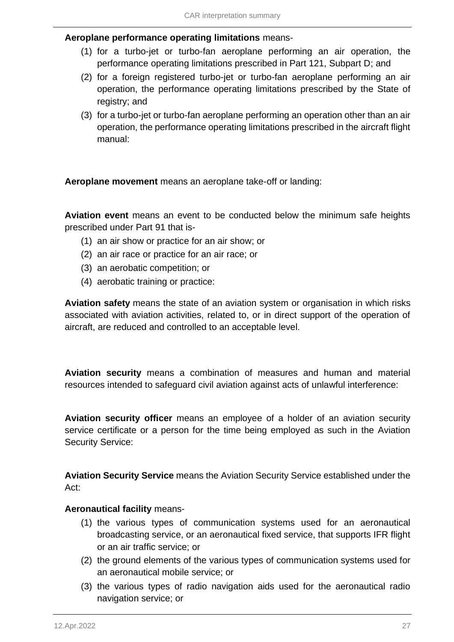### **Aeroplane performance operating limitations** means-

- (1) for a turbo-jet or turbo-fan aeroplane performing an air operation, the performance operating limitations prescribed in Part 121, Subpart D; and
- (2) for a foreign registered turbo-jet or turbo-fan aeroplane performing an air operation, the performance operating limitations prescribed by the State of registry; and
- (3) for a turbo-jet or turbo-fan aeroplane performing an operation other than an air operation, the performance operating limitations prescribed in the aircraft flight manual:

**Aeroplane movement** means an aeroplane take-off or landing:

**Aviation event** means an event to be conducted below the minimum safe heights prescribed under Part 91 that is-

- (1) an air show or practice for an air show; or
- (2) an air race or practice for an air race; or
- (3) an aerobatic competition; or
- (4) aerobatic training or practice:

**Aviation safety** means the state of an aviation system or organisation in which risks associated with aviation activities, related to, or in direct support of the operation of aircraft, are reduced and controlled to an acceptable level.

**Aviation security** means a combination of measures and human and material resources intended to safeguard civil aviation against acts of unlawful interference:

**Aviation security officer** means an employee of a holder of an aviation security service certificate or a person for the time being employed as such in the Aviation Security Service:

**Aviation Security Service** means the Aviation Security Service established under the Act:

#### **Aeronautical facility** means-

- (1) the various types of communication systems used for an aeronautical broadcasting service, or an aeronautical fixed service, that supports IFR flight or an air traffic service; or
- (2) the ground elements of the various types of communication systems used for an aeronautical mobile service; or
- (3) the various types of radio navigation aids used for the aeronautical radio navigation service; or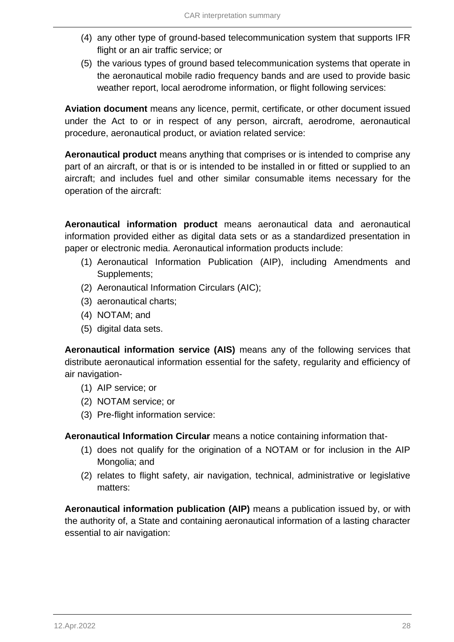- (4) any other type of ground-based telecommunication system that supports IFR flight or an air traffic service; or
- (5) the various types of ground based telecommunication systems that operate in the aeronautical mobile radio frequency bands and are used to provide basic weather report, local aerodrome information, or flight following services:

**Aviation document** means any licence, permit, certificate, or other document issued under the Act to or in respect of any person, aircraft, aerodrome, aeronautical procedure, aeronautical product, or aviation related service:

**Aeronautical product** means anything that comprises or is intended to comprise any part of an aircraft, or that is or is intended to be installed in or fitted or supplied to an aircraft; and includes fuel and other similar consumable items necessary for the operation of the aircraft:

**Aeronautical information product** means aeronautical data and aeronautical information provided either as digital data sets or as a standardized presentation in paper or electronic media. Aeronautical information products include:

- (1) Aeronautical Information Publication (AIP), including Amendments and Supplements;
- (2) Aeronautical Information Circulars (AIC);
- (3) aeronautical charts;
- (4) NOTAM; and
- (5) digital data sets.

**Aeronautical information service (AIS)** means any of the following services that distribute aeronautical information essential for the safety, regularity and efficiency of air navigation-

- (1) AIP service; or
- (2) NOTAM service; or
- (3) Pre-flight information service:

**Aeronautical Information Circular** means a notice containing information that-

- (1) does not qualify for the origination of a NOTAM or for inclusion in the AIP Mongolia; and
- (2) relates to flight safety, air navigation, technical, administrative or legislative matters:

**Aeronautical information publication (AIP)** means a publication issued by, or with the authority of, a State and containing aeronautical information of a lasting character essential to air navigation: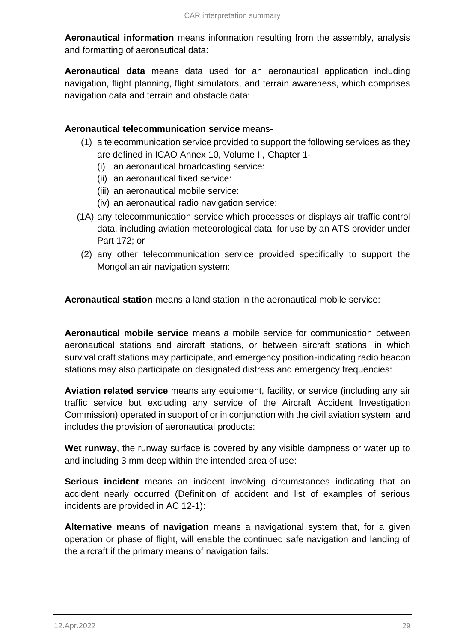**Aeronautical information** means information resulting from the assembly, analysis and formatting of aeronautical data:

**Aeronautical data** means data used for an aeronautical application including navigation, flight planning, flight simulators, and terrain awareness, which comprises navigation data and terrain and obstacle data:

### **Aeronautical telecommunication service** means-

- (1) a telecommunication service provided to support the following services as they are defined in ICAO Annex 10, Volume II, Chapter 1-
	- (i) an aeronautical broadcasting service:
	- (ii) an aeronautical fixed service:
	- (iii) an aeronautical mobile service:
	- (iv) an aeronautical radio navigation service;
- (1A) any telecommunication service which processes or displays air traffic control data, including aviation meteorological data, for use by an ATS provider under Part 172; or
- (2) any other telecommunication service provided specifically to support the Mongolian air navigation system:

**Aeronautical station** means a land station in the aeronautical mobile service:

**Aeronautical mobile service** means a mobile service for communication between aeronautical stations and aircraft stations, or between aircraft stations, in which survival craft stations may participate, and emergency position-indicating radio beacon stations may also participate on designated distress and emergency frequencies:

**Aviation related service** means any equipment, facility, or service (including any air traffic service but excluding any service of the Aircraft Accident Investigation Commission) operated in support of or in conjunction with the civil aviation system; and includes the provision of aeronautical products:

**Wet runway**, the runway surface is covered by any visible dampness or water up to and including 3 mm deep within the intended area of use:

**Serious incident** means an incident involving circumstances indicating that an accident nearly occurred (Definition of accident and list of examples of serious incidents are provided in AC 12-1):

**Alternative means of navigation** means a navigational system that, for a given operation or phase of flight, will enable the continued safe navigation and landing of the aircraft if the primary means of navigation fails: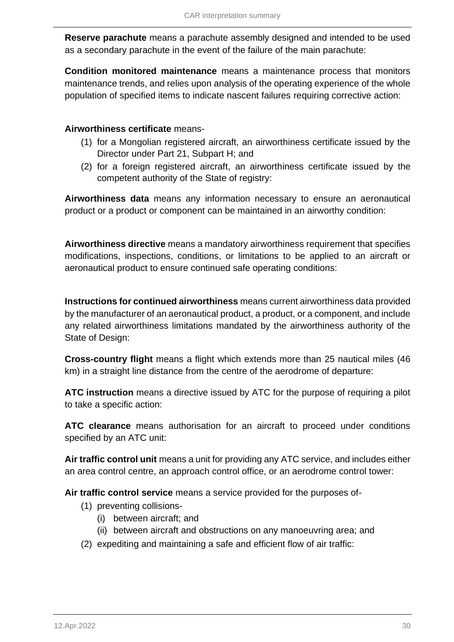**Reserve parachute** means a parachute assembly designed and intended to be used as a secondary parachute in the event of the failure of the main parachute:

**Condition monitored maintenance** means a maintenance process that monitors maintenance trends, and relies upon analysis of the operating experience of the whole population of specified items to indicate nascent failures requiring corrective action:

### **Airworthiness certificate** means-

- (1) for a Mongolian registered aircraft, an airworthiness certificate issued by the Director under Part 21, Subpart H; and
- (2) for a foreign registered aircraft, an airworthiness certificate issued by the competent authority of the State of registry:

**Airworthiness data** means any information necessary to ensure an aeronautical product or a product or component can be maintained in an airworthy condition:

**Airworthiness directive** means a mandatory airworthiness requirement that specifies modifications, inspections, conditions, or limitations to be applied to an aircraft or aeronautical product to ensure continued safe operating conditions:

**Instructions for continued airworthiness** means current airworthiness data provided by the manufacturer of an aeronautical product, a product, or a component, and include any related airworthiness limitations mandated by the airworthiness authority of the State of Design:

**Cross-country flight** means a flight which extends more than 25 nautical miles (46 km) in a straight line distance from the centre of the aerodrome of departure:

**ATC instruction** means a directive issued by ATC for the purpose of requiring a pilot to take a specific action:

**ATC clearance** means authorisation for an aircraft to proceed under conditions specified by an ATC unit:

**Air traffic control unit** means a unit for providing any ATC service, and includes either an area control centre, an approach control office, or an aerodrome control tower:

**Air traffic control service** means a service provided for the purposes of-

- (1) preventing collisions-
	- (i) between aircraft; and
	- (ii) between aircraft and obstructions on any manoeuvring area; and
- (2) expediting and maintaining a safe and efficient flow of air traffic: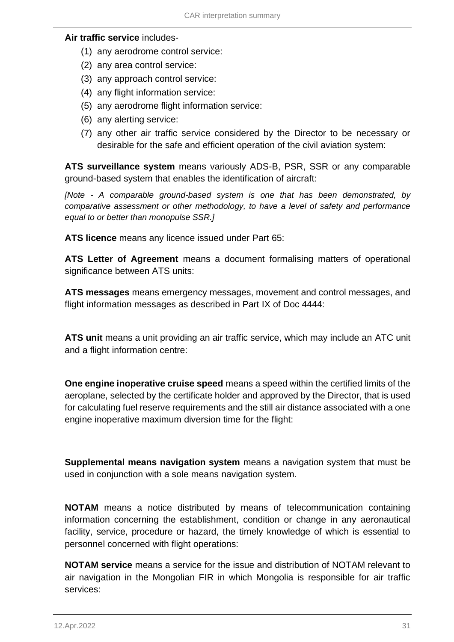#### **Air traffic service** includes-

- (1) any aerodrome control service:
- (2) any area control service:
- (3) any approach control service:
- (4) any flight information service:
- (5) any aerodrome flight information service:
- (6) any alerting service:
- (7) any other air traffic service considered by the Director to be necessary or desirable for the safe and efficient operation of the civil aviation system:

**ATS surveillance system** means variously ADS-B, PSR, SSR or any comparable ground-based system that enables the identification of aircraft:

*[Note - A comparable ground-based system is one that has been demonstrated, by comparative assessment or other methodology, to have a level of safety and performance equal to or better than monopulse SSR.]*

**ATS licence** means any licence issued under Part 65:

**ATS Letter of Agreement** means a document formalising matters of operational significance between ATS units:

**ATS messages** means emergency messages, movement and control messages, and flight information messages as described in Part IX of Doc 4444:

**ATS unit** means a unit providing an air traffic service, which may include an ATC unit and a flight information centre:

**One engine inoperative cruise speed** means a speed within the certified limits of the aeroplane, selected by the certificate holder and approved by the Director, that is used for calculating fuel reserve requirements and the still air distance associated with a one engine inoperative maximum diversion time for the flight:

**Supplemental means navigation system** means a navigation system that must be used in conjunction with a sole means navigation system.

**NOTAM** means a notice distributed by means of telecommunication containing information concerning the establishment, condition or change in any aeronautical facility, service, procedure or hazard, the timely knowledge of which is essential to personnel concerned with flight operations:

**NOTAM service** means a service for the issue and distribution of NOTAM relevant to air navigation in the Mongolian FIR in which Mongolia is responsible for air traffic services: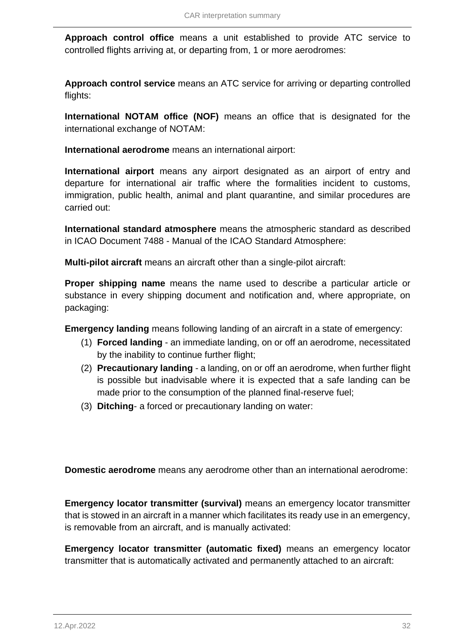**Approach control office** means a unit established to provide ATC service to controlled flights arriving at, or departing from, 1 or more aerodromes:

**Approach control service** means an ATC service for arriving or departing controlled flights:

**International NOTAM office (NOF)** means an office that is designated for the international exchange of NOTAM:

**International aerodrome** means an international airport:

**International airport** means any airport designated as an airport of entry and departure for international air traffic where the formalities incident to customs, immigration, public health, animal and plant quarantine, and similar procedures are carried out:

**International standard atmosphere** means the atmospheric standard as described in ICAO Document 7488 - Manual of the ICAO Standard Atmosphere:

**Multi-pilot aircraft** means an aircraft other than a single-pilot aircraft:

**Proper shipping name** means the name used to describe a particular article or substance in every shipping document and notification and, where appropriate, on packaging:

**Emergency landing** means following landing of an aircraft in a state of emergency:

- (1) **Forced landing** an immediate landing, on or off an aerodrome, necessitated by the inability to continue further flight;
- (2) **Precautionary landing**  a landing, on or off an aerodrome, when further flight is possible but inadvisable where it is expected that a safe landing can be made prior to the consumption of the planned final-reserve fuel;
- (3) **Ditching** a forced or precautionary landing on water:

**Domestic aerodrome** means any aerodrome other than an international aerodrome:

**Emergency locator transmitter (survival)** means an emergency locator transmitter that is stowed in an aircraft in a manner which facilitates its ready use in an emergency, is removable from an aircraft, and is manually activated:

**Emergency locator transmitter (automatic fixed)** means an emergency locator transmitter that is automatically activated and permanently attached to an aircraft: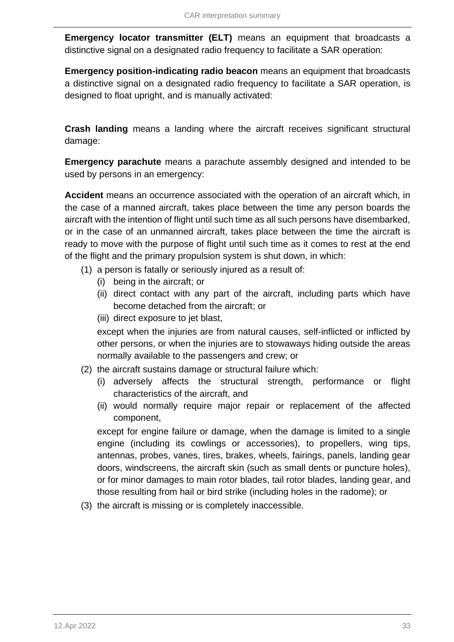**Emergency locator transmitter (ELT)** means an equipment that broadcasts a distinctive signal on a designated radio frequency to facilitate a SAR operation:

**Emergency position-indicating radio beacon** means an equipment that broadcasts a distinctive signal on a designated radio frequency to facilitate a SAR operation, is designed to float upright, and is manually activated:

**Crash landing** means a landing where the aircraft receives significant structural damage:

**Emergency parachute** means a parachute assembly designed and intended to be used by persons in an emergency:

**Accident** means an occurrence associated with the operation of an aircraft which, in the case of a manned aircraft, takes place between the time any person boards the aircraft with the intention of flight until such time as all such persons have disembarked, or in the case of an unmanned aircraft, takes place between the time the aircraft is ready to move with the purpose of flight until such time as it comes to rest at the end of the flight and the primary propulsion system is shut down, in which:

- (1) a person is fatally or seriously injured as a result of:
	- (i) being in the aircraft; or
	- (ii) direct contact with any part of the aircraft, including parts which have become detached from the aircraft; or
	- (iii) direct exposure to jet blast,

except when the injuries are from natural causes, self-inflicted or inflicted by other persons, or when the injuries are to stowaways hiding outside the areas normally available to the passengers and crew; or

- (2) the aircraft sustains damage or structural failure which:
	- (i) adversely affects the structural strength, performance or flight characteristics of the aircraft, and
	- (ii) would normally require major repair or replacement of the affected component,

except for engine failure or damage, when the damage is limited to a single engine (including its cowlings or accessories), to propellers, wing tips, antennas, probes, vanes, tires, brakes, wheels, fairings, panels, landing gear doors, windscreens, the aircraft skin (such as small dents or puncture holes), or for minor damages to main rotor blades, tail rotor blades, landing gear, and those resulting from hail or bird strike (including holes in the radome); or

(3) the aircraft is missing or is completely inaccessible.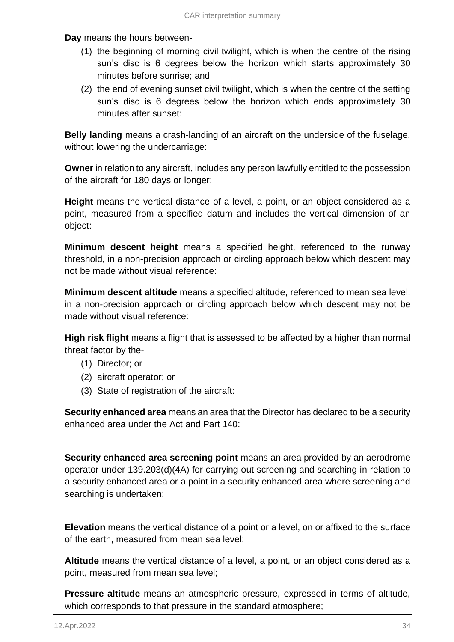**Day** means the hours between-

- (1) the beginning of morning civil twilight, which is when the centre of the rising sun's disc is 6 degrees below the horizon which starts approximately 30 minutes before sunrise; and
- (2) the end of evening sunset civil twilight, which is when the centre of the setting sun's disc is 6 degrees below the horizon which ends approximately 30 minutes after sunset:

**Belly landing** means a crash-landing of an aircraft on the underside of the fuselage, without lowering the undercarriage:

**Owner** in relation to any aircraft, includes any person lawfully entitled to the possession of the aircraft for 180 days or longer:

**Height** means the vertical distance of a level, a point, or an object considered as a point, measured from a specified datum and includes the vertical dimension of an object:

**Minimum descent height** means a specified height, referenced to the runway threshold, in a non-precision approach or circling approach below which descent may not be made without visual reference:

**Minimum descent altitude** means a specified altitude, referenced to mean sea level, in a non-precision approach or circling approach below which descent may not be made without visual reference:

**High risk flight** means a flight that is assessed to be affected by a higher than normal threat factor by the-

- (1) Director; or
- (2) aircraft operator; or
- (3) State of registration of the aircraft:

**Security enhanced area** means an area that the Director has declared to be a security enhanced area under the Act and Part 140:

**Security enhanced area screening point** means an area provided by an aerodrome operator under 139.203(d)(4A) for carrying out screening and searching in relation to a security enhanced area or a point in a security enhanced area where screening and searching is undertaken:

**Elevation** means the vertical distance of a point or a level, on or affixed to the surface of the earth, measured from mean sea level:

**Altitude** means the vertical distance of a level, a point, or an object considered as a point, measured from mean sea level;

**Pressure altitude** means an atmospheric pressure, expressed in terms of altitude, which corresponds to that pressure in the standard atmosphere;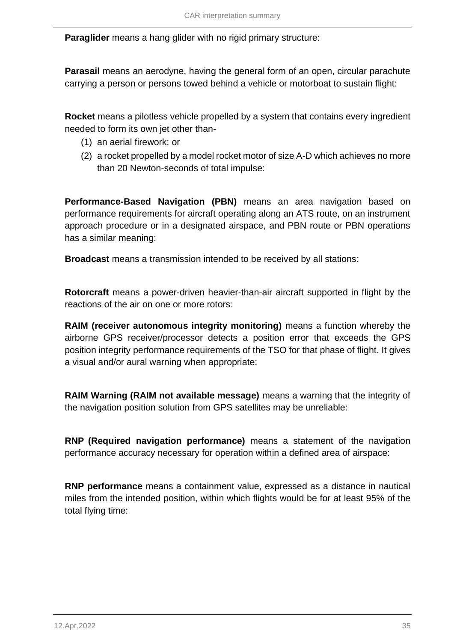**Paraglider** means a hang glider with no rigid primary structure:

**Parasail** means an aerodyne, having the general form of an open, circular parachute carrying a person or persons towed behind a vehicle or motorboat to sustain flight:

**Rocket** means a pilotless vehicle propelled by a system that contains every ingredient needed to form its own jet other than-

- (1) an aerial firework; or
- (2) a rocket propelled by a model rocket motor of size A-D which achieves no more than 20 Newton-seconds of total impulse:

**Performance-Based Navigation (PBN)** means an area navigation based on performance requirements for aircraft operating along an ATS route, on an instrument approach procedure or in a designated airspace, and PBN route or PBN operations has a similar meaning:

**Broadcast** means a transmission intended to be received by all stations:

**Rotorcraft** means a power-driven heavier-than-air aircraft supported in flight by the reactions of the air on one or more rotors:

**RAIM (receiver autonomous integrity monitoring)** means a function whereby the airborne GPS receiver/processor detects a position error that exceeds the GPS position integrity performance requirements of the TSO for that phase of flight. It gives a visual and/or aural warning when appropriate:

**RAIM Warning (RAIM not available message)** means a warning that the integrity of the navigation position solution from GPS satellites may be unreliable:

**RNP (Required navigation performance)** means a statement of the navigation performance accuracy necessary for operation within a defined area of airspace:

**RNP performance** means a containment value, expressed as a distance in nautical miles from the intended position, within which flights would be for at least 95% of the total flying time: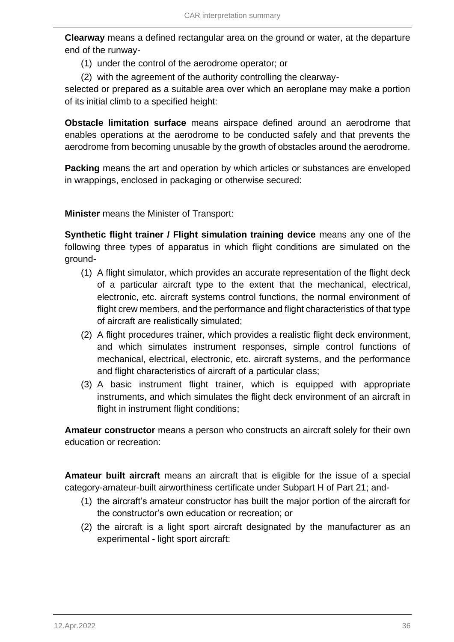**Clearway** means a defined rectangular area on the ground or water, at the departure end of the runway-

- (1) under the control of the aerodrome operator; or
- (2) with the agreement of the authority controlling the clearway-

selected or prepared as a suitable area over which an aeroplane may make a portion of its initial climb to a specified height:

**Obstacle limitation surface** means airspace defined around an aerodrome that enables operations at the aerodrome to be conducted safely and that prevents the aerodrome from becoming unusable by the growth of obstacles around the aerodrome.

**Packing** means the art and operation by which articles or substances are enveloped in wrappings, enclosed in packaging or otherwise secured:

**Minister** means the Minister of Transport:

**Synthetic flight trainer / Flight simulation training device** means any one of the following three types of apparatus in which flight conditions are simulated on the ground-

- (1) A flight simulator, which provides an accurate representation of the flight deck of a particular aircraft type to the extent that the mechanical, electrical, electronic, etc. aircraft systems control functions, the normal environment of flight crew members, and the performance and flight characteristics of that type of aircraft are realistically simulated;
- (2) A flight procedures trainer, which provides a realistic flight deck environment, and which simulates instrument responses, simple control functions of mechanical, electrical, electronic, etc. aircraft systems, and the performance and flight characteristics of aircraft of a particular class;
- (3) A basic instrument flight trainer, which is equipped with appropriate instruments, and which simulates the flight deck environment of an aircraft in flight in instrument flight conditions;

**Amateur constructor** means a person who constructs an aircraft solely for their own education or recreation:

**Amateur built aircraft** means an aircraft that is eligible for the issue of a special category-amateur-built airworthiness certificate under Subpart H of Part 21; and-

- (1) the aircraft's amateur constructor has built the major portion of the aircraft for the constructor's own education or recreation; or
- (2) the aircraft is a light sport aircraft designated by the manufacturer as an experimental - light sport aircraft: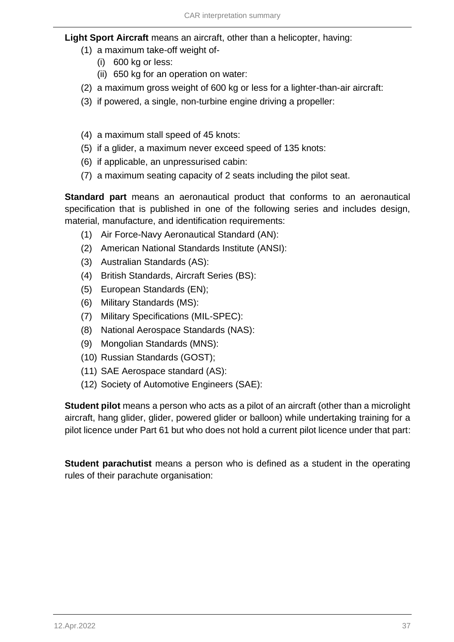## **Light Sport Aircraft** means an aircraft, other than a helicopter, having:

- (1) a maximum take-off weight of-
	- (i) 600 kg or less:
	- (ii) 650 kg for an operation on water:
- (2) a maximum gross weight of 600 kg or less for a lighter-than-air aircraft:
- (3) if powered, a single, non-turbine engine driving a propeller:
- (4) a maximum stall speed of 45 knots:
- (5) if a glider, a maximum never exceed speed of 135 knots:
- (6) if applicable, an unpressurised cabin:
- (7) a maximum seating capacity of 2 seats including the pilot seat.

**Standard part** means an aeronautical product that conforms to an aeronautical specification that is published in one of the following series and includes design, material, manufacture, and identification requirements:

- (1) Air Force-Navy Aeronautical Standard (AN):
- (2) American National Standards Institute (ANSI):
- (3) Australian Standards (AS):
- (4) British Standards, Aircraft Series (BS):
- (5) European Standards (EN);
- (6) Military Standards (MS):
- (7) Military Specifications (MIL-SPEC):
- (8) National Aerospace Standards (NAS):
- (9) Mongolian Standards (MNS):
- (10) Russian Standards (GOST);
- (11) SAE Aerospace standard (AS):
- (12) Society of Automotive Engineers (SAE):

**Student pilot** means a person who acts as a pilot of an aircraft (other than a microlight aircraft, hang glider, glider, powered glider or balloon) while undertaking training for a pilot licence under Part 61 but who does not hold a current pilot licence under that part:

**Student parachutist** means a person who is defined as a student in the operating rules of their parachute organisation: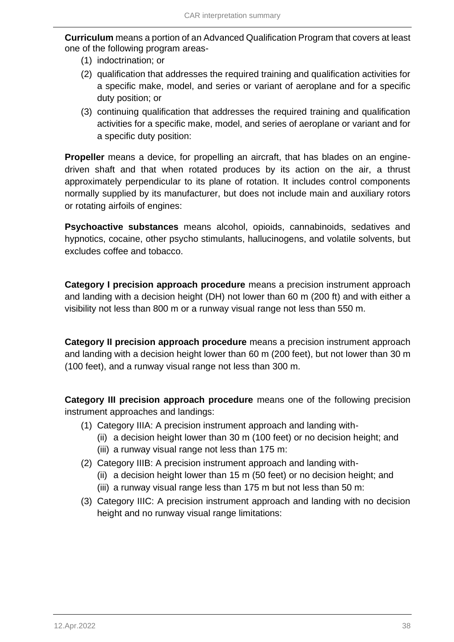**Curriculum** means a portion of an Advanced Qualification Program that covers at least one of the following program areas-

- (1) indoctrination; or
- (2) qualification that addresses the required training and qualification activities for a specific make, model, and series or variant of aeroplane and for a specific duty position; or
- (3) continuing qualification that addresses the required training and qualification activities for a specific make, model, and series of aeroplane or variant and for a specific duty position:

**Propeller** means a device, for propelling an aircraft, that has blades on an enginedriven shaft and that when rotated produces by its action on the air, a thrust approximately perpendicular to its plane of rotation. It includes control components normally supplied by its manufacturer, but does not include main and auxiliary rotors or rotating airfoils of engines:

**Psychoactive substances** means alcohol, opioids, cannabinoids, sedatives and hypnotics, cocaine, other psycho stimulants, hallucinogens, and volatile solvents, but excludes coffee and tobacco.

**Category I precision approach procedure** means a precision instrument approach and landing with a decision height (DH) not lower than 60 m (200 ft) and with either a visibility not less than 800 m or a runway visual range not less than 550 m.

**Category II precision approach procedure** means a precision instrument approach and landing with a decision height lower than 60 m (200 feet), but not lower than 30 m (100 feet), and a runway visual range not less than 300 m.

**Category III precision approach procedure** means one of the following precision instrument approaches and landings:

- (1) Category IIIA: A precision instrument approach and landing with-
	- (ii) a decision height lower than 30 m (100 feet) or no decision height; and
	- (iii) a runway visual range not less than 175 m:
- (2) Category IIIB: A precision instrument approach and landing with-
	- (ii) a decision height lower than 15 m (50 feet) or no decision height; and
	- (iii) a runway visual range less than 175 m but not less than 50 m:
- (3) Category IIIC: A precision instrument approach and landing with no decision height and no runway visual range limitations: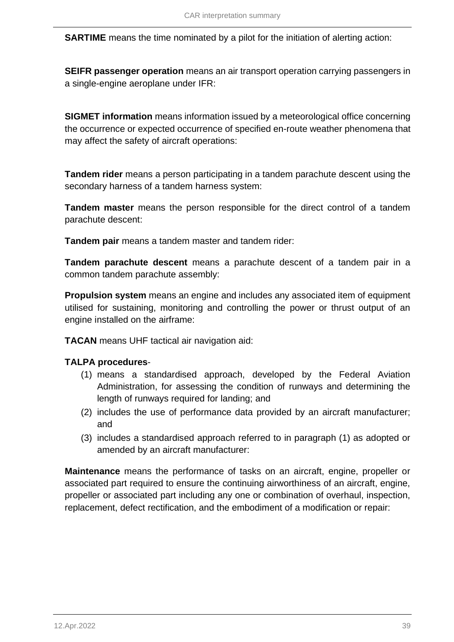**SARTIME** means the time nominated by a pilot for the initiation of alerting action:

**SEIFR passenger operation** means an air transport operation carrying passengers in a single-engine aeroplane under IFR:

**SIGMET information** means information issued by a meteorological office concerning the occurrence or expected occurrence of specified en-route weather phenomena that may affect the safety of aircraft operations:

**Tandem rider** means a person participating in a tandem parachute descent using the secondary harness of a tandem harness system:

**Tandem master** means the person responsible for the direct control of a tandem parachute descent:

**Tandem pair** means a tandem master and tandem rider:

**Tandem parachute descent** means a parachute descent of a tandem pair in a common tandem parachute assembly:

**Propulsion system** means an engine and includes any associated item of equipment utilised for sustaining, monitoring and controlling the power or thrust output of an engine installed on the airframe:

**TACAN** means UHF tactical air navigation aid:

## **TALPA procedures**-

- (1) means a standardised approach, developed by the Federal Aviation Administration, for assessing the condition of runways and determining the length of runways required for landing; and
- (2) includes the use of performance data provided by an aircraft manufacturer; and
- (3) includes a standardised approach referred to in paragraph (1) as adopted or amended by an aircraft manufacturer:

**Maintenance** means the performance of tasks on an aircraft, engine, propeller or associated part required to ensure the continuing airworthiness of an aircraft, engine, propeller or associated part including any one or combination of overhaul, inspection, replacement, defect rectification, and the embodiment of a modification or repair: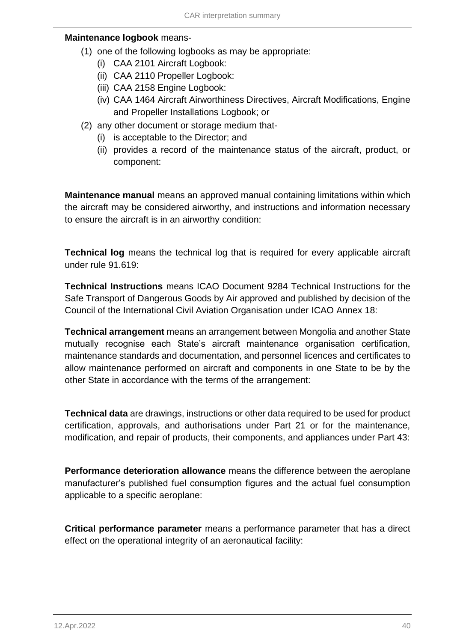#### **Maintenance logbook** means-

- (1) one of the following logbooks as may be appropriate:
	- (i) CAA 2101 Aircraft Logbook:
	- (ii) CAA 2110 Propeller Logbook:
	- (iii) CAA 2158 Engine Logbook:
	- (iv) CAA 1464 Aircraft Airworthiness Directives, Aircraft Modifications, Engine and Propeller Installations Logbook; or
- (2) any other document or storage medium that-
	- (i) is acceptable to the Director; and
	- (ii) provides a record of the maintenance status of the aircraft, product, or component:

**Maintenance manual** means an approved manual containing limitations within which the aircraft may be considered airworthy, and instructions and information necessary to ensure the aircraft is in an airworthy condition:

**Technical log** means the technical log that is required for every applicable aircraft under rule 91.619:

**Technical Instructions** means ICAO Document 9284 Technical Instructions for the Safe Transport of Dangerous Goods by Air approved and published by decision of the Council of the International Civil Aviation Organisation under ICAO Annex 18:

**Technical arrangement** means an arrangement between Mongolia and another State mutually recognise each State's aircraft maintenance organisation certification, maintenance standards and documentation, and personnel licences and certificates to allow maintenance performed on aircraft and components in one State to be by the other State in accordance with the terms of the arrangement:

**Technical data** are drawings, instructions or other data required to be used for product certification, approvals, and authorisations under Part 21 or for the maintenance, modification, and repair of products, their components, and appliances under Part 43:

**Performance deterioration allowance** means the difference between the aeroplane manufacturer's published fuel consumption figures and the actual fuel consumption applicable to a specific aeroplane:

**Critical performance parameter** means a performance parameter that has a direct effect on the operational integrity of an aeronautical facility: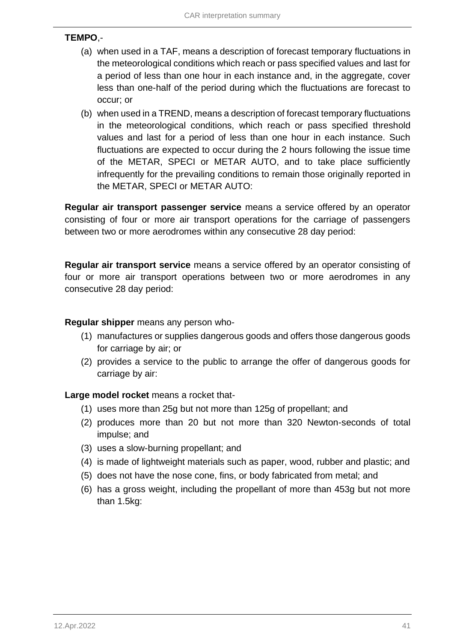## **TEMPO**,-

- (a) when used in a TAF, means a description of forecast temporary fluctuations in the meteorological conditions which reach or pass specified values and last for a period of less than one hour in each instance and, in the aggregate, cover less than one-half of the period during which the fluctuations are forecast to occur; or
- (b) when used in a TREND, means a description of forecast temporary fluctuations in the meteorological conditions, which reach or pass specified threshold values and last for a period of less than one hour in each instance. Such fluctuations are expected to occur during the 2 hours following the issue time of the METAR, SPECI or METAR AUTO, and to take place sufficiently infrequently for the prevailing conditions to remain those originally reported in the METAR, SPECI or METAR AUTO:

**Regular air transport passenger service** means a service offered by an operator consisting of four or more air transport operations for the carriage of passengers between two or more aerodromes within any consecutive 28 day period:

**Regular air transport service** means a service offered by an operator consisting of four or more air transport operations between two or more aerodromes in any consecutive 28 day period:

### **Regular shipper** means any person who-

- (1) manufactures or supplies dangerous goods and offers those dangerous goods for carriage by air; or
- (2) provides a service to the public to arrange the offer of dangerous goods for carriage by air:

**Large model rocket** means a rocket that-

- (1) uses more than 25g but not more than 125g of propellant; and
- (2) produces more than 20 but not more than 320 Newton-seconds of total impulse; and
- (3) uses a slow-burning propellant; and
- (4) is made of lightweight materials such as paper, wood, rubber and plastic; and
- (5) does not have the nose cone, fins, or body fabricated from metal; and
- (6) has a gross weight, including the propellant of more than 453g but not more than 1.5kg: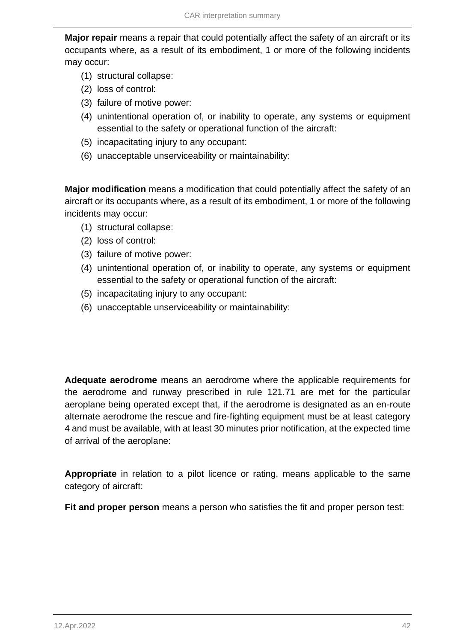**Major repair** means a repair that could potentially affect the safety of an aircraft or its occupants where, as a result of its embodiment, 1 or more of the following incidents may occur:

- (1) structural collapse:
- (2) loss of control:
- (3) failure of motive power:
- (4) unintentional operation of, or inability to operate, any systems or equipment essential to the safety or operational function of the aircraft:
- (5) incapacitating injury to any occupant:
- (6) unacceptable unserviceability or maintainability:

**Major modification** means a modification that could potentially affect the safety of an aircraft or its occupants where, as a result of its embodiment, 1 or more of the following incidents may occur:

- (1) structural collapse:
- (2) loss of control:
- (3) failure of motive power:
- (4) unintentional operation of, or inability to operate, any systems or equipment essential to the safety or operational function of the aircraft:
- (5) incapacitating injury to any occupant:
- (6) unacceptable unserviceability or maintainability:

**Adequate aerodrome** means an aerodrome where the applicable requirements for the aerodrome and runway prescribed in rule 121.71 are met for the particular aeroplane being operated except that, if the aerodrome is designated as an en-route alternate aerodrome the rescue and fire-fighting equipment must be at least category 4 and must be available, with at least 30 minutes prior notification, at the expected time of arrival of the aeroplane:

**Appropriate** in relation to a pilot licence or rating, means applicable to the same category of aircraft:

**Fit and proper person** means a person who satisfies the fit and proper person test: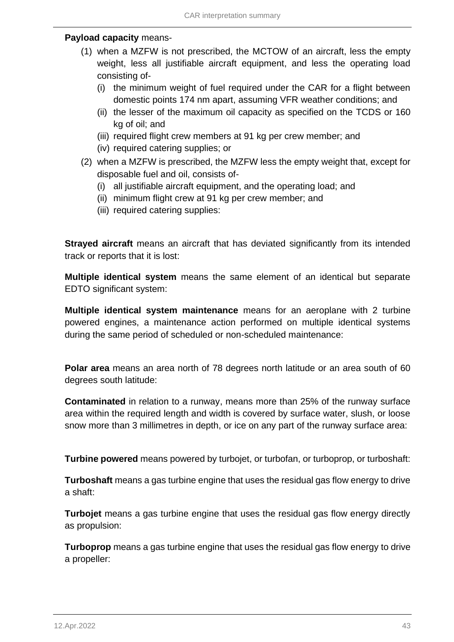### **Payload capacity** means-

- (1) when a MZFW is not prescribed, the MCTOW of an aircraft, less the empty weight, less all justifiable aircraft equipment, and less the operating load consisting of-
	- (i) the minimum weight of fuel required under the CAR for a flight between domestic points 174 nm apart, assuming VFR weather conditions; and
	- (ii) the lesser of the maximum oil capacity as specified on the TCDS or 160 kg of oil; and
	- (iii) required flight crew members at 91 kg per crew member; and
	- (iv) required catering supplies; or
- (2) when a MZFW is prescribed, the MZFW less the empty weight that, except for disposable fuel and oil, consists of-
	- (i) all justifiable aircraft equipment, and the operating load; and
	- (ii) minimum flight crew at 91 kg per crew member; and
	- (iii) required catering supplies:

**Strayed aircraft** means an aircraft that has deviated significantly from its intended track or reports that it is lost:

**Multiple identical system** means the same element of an identical but separate EDTO significant system:

**Multiple identical system maintenance** means for an aeroplane with 2 turbine powered engines, a maintenance action performed on multiple identical systems during the same period of scheduled or non-scheduled maintenance:

**Polar area** means an area north of 78 degrees north latitude or an area south of 60 degrees south latitude:

**Contaminated** in relation to a runway, means more than 25% of the runway surface area within the required length and width is covered by surface water, slush, or loose snow more than 3 millimetres in depth, or ice on any part of the runway surface area:

**Turbine powered** means powered by turbojet, or turbofan, or turboprop, or turboshaft:

**Turboshaft** means a gas turbine engine that uses the residual gas flow energy to drive a shaft:

**Turbojet** means a gas turbine engine that uses the residual gas flow energy directly as propulsion:

**Turboprop** means a gas turbine engine that uses the residual gas flow energy to drive a propeller: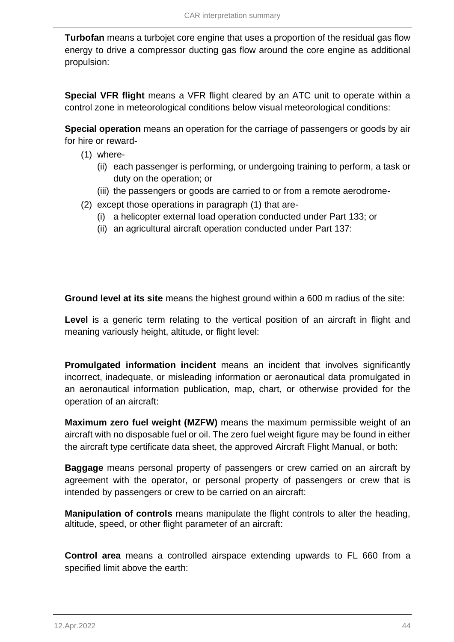**Turbofan** means a turbojet core engine that uses a proportion of the residual gas flow energy to drive a compressor ducting gas flow around the core engine as additional propulsion:

**Special VFR flight** means a VFR flight cleared by an ATC unit to operate within a control zone in meteorological conditions below visual meteorological conditions:

**Special operation** means an operation for the carriage of passengers or goods by air for hire or reward-

- (1) where-
	- (ii) each passenger is performing, or undergoing training to perform, a task or duty on the operation; or
	- (iii) the passengers or goods are carried to or from a remote aerodrome-
- (2) except those operations in paragraph (1) that are-
	- (i) a helicopter external load operation conducted under Part 133; or
	- (ii) an agricultural aircraft operation conducted under Part 137:

**Ground level at its site** means the highest ground within a 600 m radius of the site:

**Level** is a generic term relating to the vertical position of an aircraft in flight and meaning variously height, altitude, or flight level:

**Promulgated information incident** means an incident that involves significantly incorrect, inadequate, or misleading information or aeronautical data promulgated in an aeronautical information publication, map, chart, or otherwise provided for the operation of an aircraft:

**Maximum zero fuel weight (MZFW)** means the maximum permissible weight of an aircraft with no disposable fuel or oil. The zero fuel weight figure may be found in either the aircraft type certificate data sheet, the approved Aircraft Flight Manual, or both:

**Baggage** means personal property of passengers or crew carried on an aircraft by agreement with the operator, or personal property of passengers or crew that is intended by passengers or crew to be carried on an aircraft:

**Manipulation of controls** means manipulate the flight controls to alter the heading, altitude, speed, or other flight parameter of an aircraft:

**Control area** means a controlled airspace extending upwards to FL 660 from a specified limit above the earth: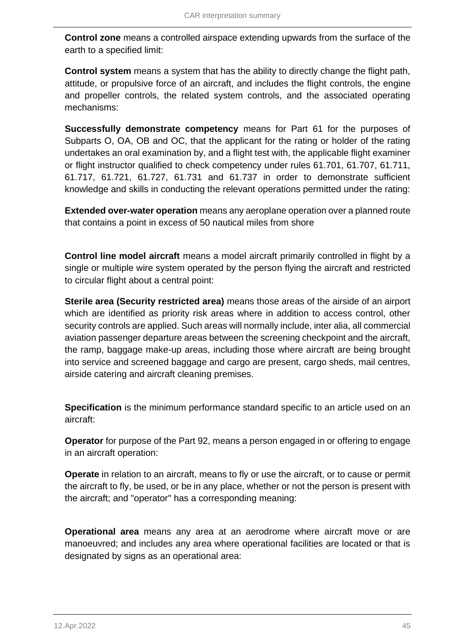**Control zone** means a controlled airspace extending upwards from the surface of the earth to a specified limit:

**Control system** means a system that has the ability to directly change the flight path, attitude, or propulsive force of an aircraft, and includes the flight controls, the engine and propeller controls, the related system controls, and the associated operating mechanisms:

**Successfully demonstrate competency** means for Part 61 for the purposes of Subparts O, OA, OB and OC, that the applicant for the rating or holder of the rating undertakes an oral examination by, and a flight test with, the applicable flight examiner or flight instructor qualified to check competency under rules 61.701, 61.707, 61.711, 61.717, 61.721, 61.727, 61.731 and 61.737 in order to demonstrate sufficient knowledge and skills in conducting the relevant operations permitted under the rating:

**Extended over-water operation** means any aeroplane operation over a planned route that contains a point in excess of 50 nautical miles from shore

**Control line model aircraft** means a model aircraft primarily controlled in flight by a single or multiple wire system operated by the person flying the aircraft and restricted to circular flight about a central point:

**Sterile area (Security restricted area)** means those areas of the airside of an airport which are identified as priority risk areas where in addition to access control, other security controls are applied. Such areas will normally include, inter alia, all commercial aviation passenger departure areas between the screening checkpoint and the aircraft, the ramp, baggage make-up areas, including those where aircraft are being brought into service and screened baggage and cargo are present, cargo sheds, mail centres, airside catering and aircraft cleaning premises.

**Specification** is the minimum performance standard specific to an article used on an aircraft:

**Operator** for purpose of the Part 92, means a person engaged in or offering to engage in an aircraft operation:

**Operate** in relation to an aircraft, means to fly or use the aircraft, or to cause or permit the aircraft to fly, be used, or be in any place, whether or not the person is present with the aircraft; and "operator" has a corresponding meaning:

**Operational area** means any area at an aerodrome where aircraft move or are manoeuvred; and includes any area where operational facilities are located or that is designated by signs as an operational area: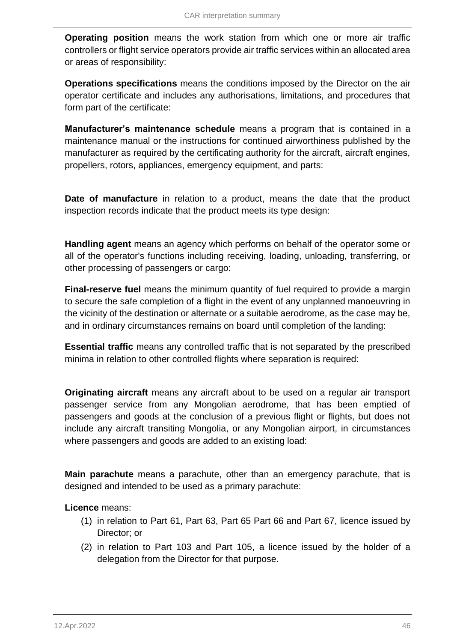**Operating position** means the work station from which one or more air traffic controllers or flight service operators provide air traffic services within an allocated area or areas of responsibility:

**Operations specifications** means the conditions imposed by the Director on the air operator certificate and includes any authorisations, limitations, and procedures that form part of the certificate:

**Manufacturer's maintenance schedule** means a program that is contained in a maintenance manual or the instructions for continued airworthiness published by the manufacturer as required by the certificating authority for the aircraft, aircraft engines, propellers, rotors, appliances, emergency equipment, and parts:

**Date of manufacture** in relation to a product, means the date that the product inspection records indicate that the product meets its type design:

**Handling agent** means an agency which performs on behalf of the operator some or all of the operator's functions including receiving, loading, unloading, transferring, or other processing of passengers or cargo:

**Final-reserve fuel** means the minimum quantity of fuel required to provide a margin to secure the safe completion of a flight in the event of any unplanned manoeuvring in the vicinity of the destination or alternate or a suitable aerodrome, as the case may be, and in ordinary circumstances remains on board until completion of the landing:

**Essential traffic** means any controlled traffic that is not separated by the prescribed minima in relation to other controlled flights where separation is required:

**Originating aircraft** means any aircraft about to be used on a regular air transport passenger service from any Mongolian aerodrome, that has been emptied of passengers and goods at the conclusion of a previous flight or flights, but does not include any aircraft transiting Mongolia, or any Mongolian airport, in circumstances where passengers and goods are added to an existing load:

**Main parachute** means a parachute, other than an emergency parachute, that is designed and intended to be used as a primary parachute:

## **Licence** means:

- (1) in relation to Part 61, Part 63, Part 65 Part 66 and Part 67, licence issued by Director; or
- (2) in relation to Part 103 and Part 105, a licence issued by the holder of a delegation from the Director for that purpose.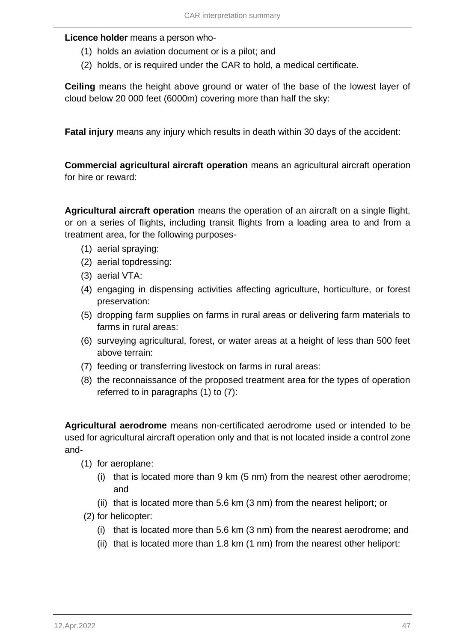#### **Licence holder** means a person who-

- (1) holds an aviation document or is a pilot; and
- (2) holds, or is required under the CAR to hold, a medical certificate.

**Ceiling** means the height above ground or water of the base of the lowest layer of cloud below 20 000 feet (6000m) covering more than half the sky:

**Fatal injury** means any injury which results in death within 30 days of the accident:

**Commercial agricultural aircraft operation** means an agricultural aircraft operation for hire or reward:

**Agricultural aircraft operation** means the operation of an aircraft on a single flight, or on a series of flights, including transit flights from a loading area to and from a treatment area, for the following purposes-

- (1) aerial spraying:
- (2) aerial topdressing:
- (3) aerial VTA:
- (4) engaging in dispensing activities affecting agriculture, horticulture, or forest preservation:
- (5) dropping farm supplies on farms in rural areas or delivering farm materials to farms in rural areas:
- (6) surveying agricultural, forest, or water areas at a height of less than 500 feet above terrain:
- (7) feeding or transferring livestock on farms in rural areas:
- (8) the reconnaissance of the proposed treatment area for the types of operation referred to in paragraphs (1) to (7):

**Agricultural aerodrome** means non-certificated aerodrome used or intended to be used for agricultural aircraft operation only and that is not located inside a control zone and-

- (1) for aeroplane:
	- (i) that is located more than 9 km (5 nm) from the nearest other aerodrome; and
	- (ii) that is located more than 5.6 km (3 nm) from the nearest heliport; or
- (2) for helicopter:
	- (i) that is located more than 5.6 km (3 nm) from the nearest aerodrome; and
	- (ii) that is located more than 1.8 km (1 nm) from the nearest other heliport: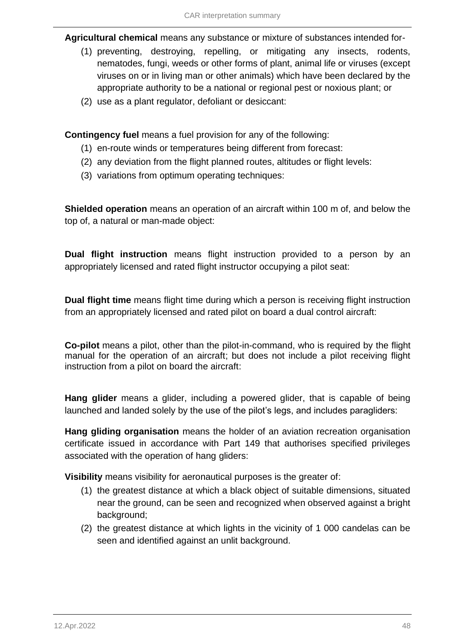**Agricultural chemical** means any substance or mixture of substances intended for-

- (1) preventing, destroying, repelling, or mitigating any insects, rodents, nematodes, fungi, weeds or other forms of plant, animal life or viruses (except viruses on or in living man or other animals) which have been declared by the appropriate authority to be a national or regional pest or noxious plant; or
- (2) use as a plant regulator, defoliant or desiccant:

**Contingency fuel** means a fuel provision for any of the following:

- (1) en-route winds or temperatures being different from forecast:
- (2) any deviation from the flight planned routes, altitudes or flight levels:
- (3) variations from optimum operating techniques:

**Shielded operation** means an operation of an aircraft within 100 m of, and below the top of, a natural or man-made object:

**Dual flight instruction** means flight instruction provided to a person by an appropriately licensed and rated flight instructor occupying a pilot seat:

**Dual flight time** means flight time during which a person is receiving flight instruction from an appropriately licensed and rated pilot on board a dual control aircraft:

**Co-pilot** means a pilot, other than the pilot-in-command, who is required by the flight manual for the operation of an aircraft; but does not include a pilot receiving flight instruction from a pilot on board the aircraft:

**Hang glider** means a glider, including a powered glider, that is capable of being launched and landed solely by the use of the pilot's legs, and includes paragliders:

**Hang gliding organisation** means the holder of an aviation recreation organisation certificate issued in accordance with Part 149 that authorises specified privileges associated with the operation of hang gliders:

**Visibility** means visibility for aeronautical purposes is the greater of:

- (1) the greatest distance at which a black object of suitable dimensions, situated near the ground, can be seen and recognized when observed against a bright background;
- (2) the greatest distance at which lights in the vicinity of 1 000 candelas can be seen and identified against an unlit background.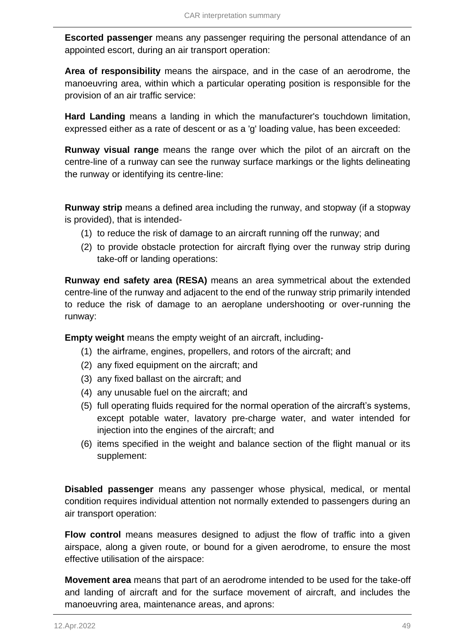**Escorted passenger** means any passenger requiring the personal attendance of an appointed escort, during an air transport operation:

**Area of responsibility** means the airspace, and in the case of an aerodrome, the manoeuvring area, within which a particular operating position is responsible for the provision of an air traffic service:

**Hard Landing** means a landing in which the manufacturer's touchdown limitation, expressed either as a rate of descent or as a 'g' loading value, has been exceeded:

**Runway visual range** means the range over which the pilot of an aircraft on the centre-line of a runway can see the runway surface markings or the lights delineating the runway or identifying its centre-line:

**Runway strip** means a defined area including the runway, and stopway (if a stopway is provided), that is intended-

- (1) to reduce the risk of damage to an aircraft running off the runway; and
- (2) to provide obstacle protection for aircraft flying over the runway strip during take-off or landing operations:

**Runway end safety area (RESA)** means an area symmetrical about the extended centre-line of the runway and adjacent to the end of the runway strip primarily intended to reduce the risk of damage to an aeroplane undershooting or over-running the runway:

**Empty weight** means the empty weight of an aircraft, including-

- (1) the airframe, engines, propellers, and rotors of the aircraft; and
- (2) any fixed equipment on the aircraft; and
- (3) any fixed ballast on the aircraft; and
- (4) any unusable fuel on the aircraft; and
- (5) full operating fluids required for the normal operation of the aircraft's systems, except potable water, lavatory pre-charge water, and water intended for injection into the engines of the aircraft; and
- (6) items specified in the weight and balance section of the flight manual or its supplement:

**Disabled passenger** means any passenger whose physical, medical, or mental condition requires individual attention not normally extended to passengers during an air transport operation:

**Flow control** means measures designed to adjust the flow of traffic into a given airspace, along a given route, or bound for a given aerodrome, to ensure the most effective utilisation of the airspace:

**Movement area** means that part of an aerodrome intended to be used for the take-off and landing of aircraft and for the surface movement of aircraft, and includes the manoeuvring area, maintenance areas, and aprons: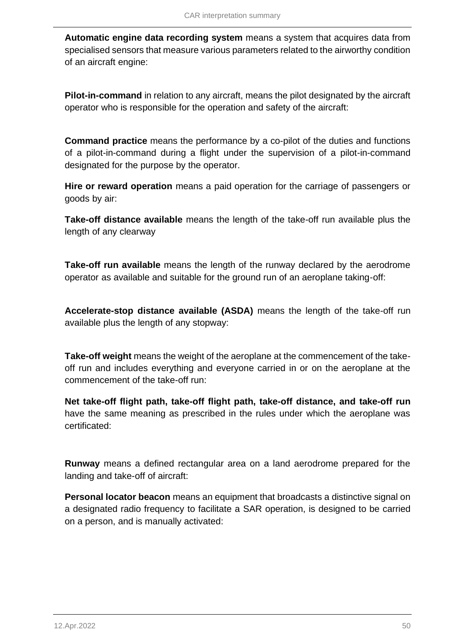**Automatic engine data recording system** means a system that acquires data from specialised sensors that measure various parameters related to the airworthy condition of an aircraft engine:

**Pilot-in-command** in relation to any aircraft, means the pilot designated by the aircraft operator who is responsible for the operation and safety of the aircraft:

**Command practice** means the performance by a co-pilot of the duties and functions of a pilot-in-command during a flight under the supervision of a pilot-in-command designated for the purpose by the operator.

**Hire or reward operation** means a paid operation for the carriage of passengers or goods by air:

**Take-off distance available** means the length of the take-off run available plus the length of any clearway

**Take-off run available** means the length of the runway declared by the aerodrome operator as available and suitable for the ground run of an aeroplane taking-off:

**Accelerate-stop distance available (ASDA)** means the length of the take-off run available plus the length of any stopway:

**Take-off weight** means the weight of the aeroplane at the commencement of the takeoff run and includes everything and everyone carried in or on the aeroplane at the commencement of the take-off run:

**Net take-off flight path, take-off flight path, take-off distance, and take-off run** have the same meaning as prescribed in the rules under which the aeroplane was certificated:

**Runway** means a defined rectangular area on a land aerodrome prepared for the landing and take-off of aircraft:

**Personal locator beacon** means an equipment that broadcasts a distinctive signal on a designated radio frequency to facilitate a SAR operation, is designed to be carried on a person, and is manually activated: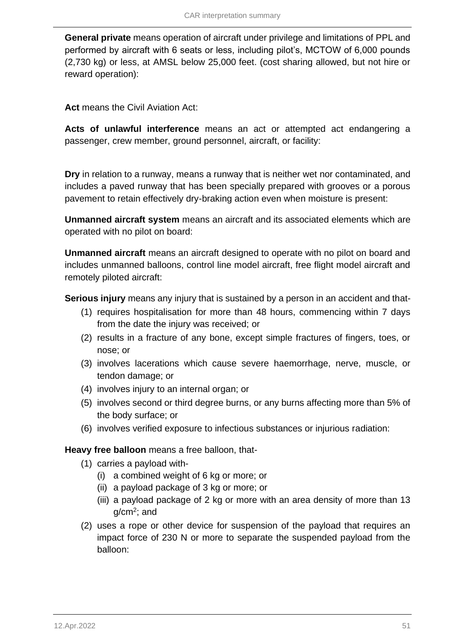**General private** means operation of aircraft under privilege and limitations of PPL and performed by aircraft with 6 seats or less, including pilot's, MCTOW of 6,000 pounds (2,730 kg) or less, at AMSL below 25,000 feet. (cost sharing allowed, but not hire or reward operation):

**Act** means the Civil Aviation Act:

**Acts of unlawful interference** means an act or attempted act endangering a passenger, crew member, ground personnel, aircraft, or facility:

**Dry** in relation to a runway, means a runway that is neither wet nor contaminated, and includes a paved runway that has been specially prepared with grooves or a porous pavement to retain effectively dry-braking action even when moisture is present:

**Unmanned aircraft system** means an aircraft and its associated elements which are operated with no pilot on board:

**Unmanned aircraft** means an aircraft designed to operate with no pilot on board and includes unmanned balloons, control line model aircraft, free flight model aircraft and remotely piloted aircraft:

**Serious injury** means any injury that is sustained by a person in an accident and that-

- (1) requires hospitalisation for more than 48 hours, commencing within 7 days from the date the injury was received; or
- (2) results in a fracture of any bone, except simple fractures of fingers, toes, or nose; or
- (3) involves lacerations which cause severe haemorrhage, nerve, muscle, or tendon damage; or
- (4) involves injury to an internal organ; or
- (5) involves second or third degree burns, or any burns affecting more than 5% of the body surface; or
- (6) involves verified exposure to infectious substances or injurious radiation:

**Heavy free balloon** means a free balloon, that-

- (1) carries a payload with-
	- (i) a combined weight of 6 kg or more; or
	- (ii) a payload package of 3 kg or more; or
	- (iii) a payload package of 2 kg or more with an area density of more than 13 g/cm<sup>2</sup>; and
- (2) uses a rope or other device for suspension of the payload that requires an impact force of 230 N or more to separate the suspended payload from the balloon: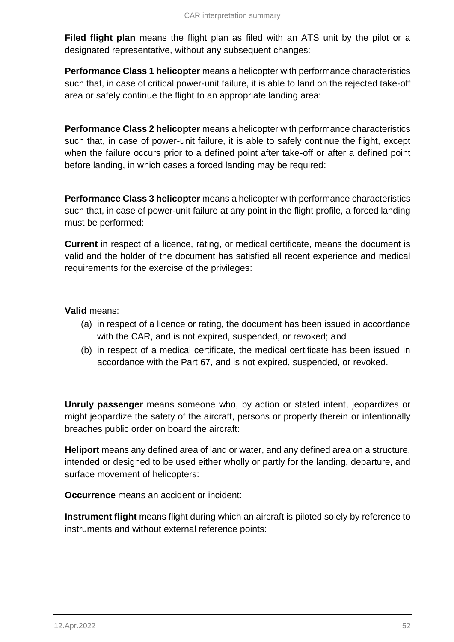**Filed flight plan** means the flight plan as filed with an ATS unit by the pilot or a designated representative, without any subsequent changes:

**Performance Class 1 helicopter** means a helicopter with performance characteristics such that, in case of critical power-unit failure, it is able to land on the rejected take-off area or safely continue the flight to an appropriate landing area:

**Performance Class 2 helicopter** means a helicopter with performance characteristics such that, in case of power-unit failure, it is able to safely continue the flight, except when the failure occurs prior to a defined point after take-off or after a defined point before landing, in which cases a forced landing may be required:

**Performance Class 3 helicopter** means a helicopter with performance characteristics such that, in case of power-unit failure at any point in the flight profile, a forced landing must be performed:

**Current** in respect of a licence, rating, or medical certificate, means the document is valid and the holder of the document has satisfied all recent experience and medical requirements for the exercise of the privileges:

## **Valid** means:

- (a) in respect of a licence or rating, the document has been issued in accordance with the CAR, and is not expired, suspended, or revoked; and
- (b) in respect of a medical certificate, the medical certificate has been issued in accordance with the Part 67, and is not expired, suspended, or revoked.

**Unruly passenger** means someone who, by action or stated intent, jeopardizes or might jeopardize the safety of the aircraft, persons or property therein or intentionally breaches public order on board the aircraft:

**Heliport** means any defined area of land or water, and any defined area on a structure, intended or designed to be used either wholly or partly for the landing, departure, and surface movement of helicopters:

**Occurrence** means an accident or incident:

**Instrument flight** means flight during which an aircraft is piloted solely by reference to instruments and without external reference points: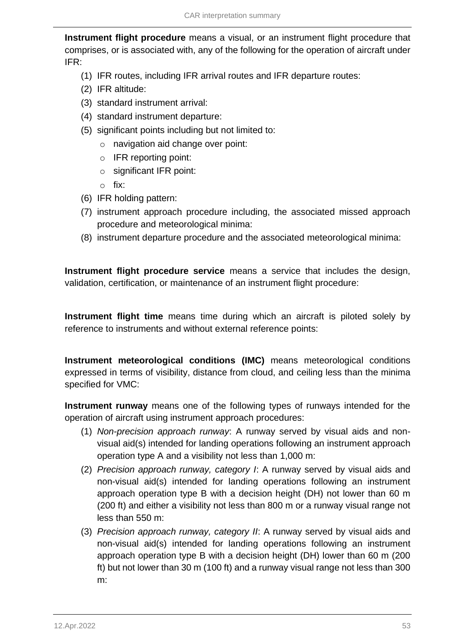**Instrument flight procedure** means a visual, or an instrument flight procedure that comprises, or is associated with, any of the following for the operation of aircraft under IFR:

- (1) IFR routes, including IFR arrival routes and IFR departure routes:
- (2) IFR altitude:
- (3) standard instrument arrival:
- (4) standard instrument departure:
- (5) significant points including but not limited to:
	- o navigation aid change over point:
	- o IFR reporting point:
	- o significant IFR point:
	- o fix:
- (6) IFR holding pattern:
- (7) instrument approach procedure including, the associated missed approach procedure and meteorological minima:
- (8) instrument departure procedure and the associated meteorological minima:

**Instrument flight procedure service** means a service that includes the design, validation, certification, or maintenance of an instrument flight procedure:

**Instrument flight time** means time during which an aircraft is piloted solely by reference to instruments and without external reference points:

**Instrument meteorological conditions (IMC)** means meteorological conditions expressed in terms of visibility, distance from cloud, and ceiling less than the minima specified for VMC:

**Instrument runway** means one of the following types of runways intended for the operation of aircraft using instrument approach procedures:

- (1) *Non-precision approach runway*: A runway served by visual aids and nonvisual aid(s) intended for landing operations following an instrument approach operation type A and a visibility not less than 1,000 m:
- (2) *Precision approach runway, category I*: A runway served by visual aids and non-visual aid(s) intended for landing operations following an instrument approach operation type B with a decision height (DH) not lower than 60 m (200 ft) and either a visibility not less than 800 m or a runway visual range not less than 550 m:
- (3) *Precision approach runway, category II*: A runway served by visual aids and non-visual aid(s) intended for landing operations following an instrument approach operation type B with a decision height (DH) lower than 60 m (200 ft) but not lower than 30 m (100 ft) and a runway visual range not less than 300 m: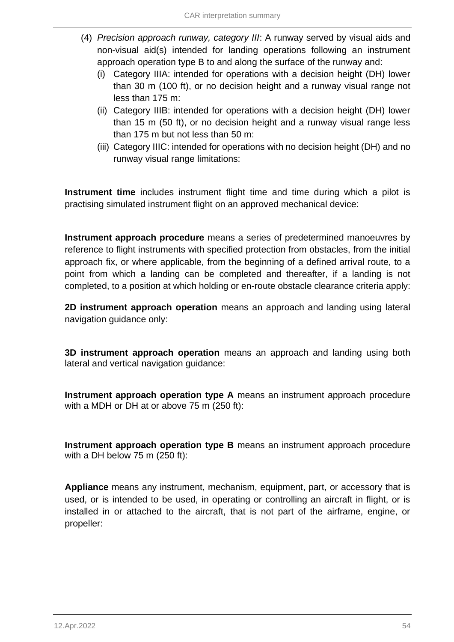- (4) *Precision approach runway, category III*: A runway served by visual aids and non-visual aid(s) intended for landing operations following an instrument approach operation type B to and along the surface of the runway and:
	- (i) Category IIIA: intended for operations with a decision height (DH) lower than 30 m (100 ft), or no decision height and a runway visual range not less than 175 m:
	- (ii) Category IIIB: intended for operations with a decision height (DH) lower than 15 m (50 ft), or no decision height and a runway visual range less than 175 m but not less than 50 m:
	- (iii) Category IIIC: intended for operations with no decision height (DH) and no runway visual range limitations:

**Instrument time** includes instrument flight time and time during which a pilot is practising simulated instrument flight on an approved mechanical device:

**Instrument approach procedure** means a series of predetermined manoeuvres by reference to flight instruments with specified protection from obstacles, from the initial approach fix, or where applicable, from the beginning of a defined arrival route, to a point from which a landing can be completed and thereafter, if a landing is not completed, to a position at which holding or en-route obstacle clearance criteria apply:

**2D instrument approach operation** means an approach and landing using lateral navigation guidance only:

**3D instrument approach operation** means an approach and landing using both lateral and vertical navigation guidance:

**Instrument approach operation type A** means an instrument approach procedure with a MDH or DH at or above 75 m (250 ft):

**Instrument approach operation type B** means an instrument approach procedure with a DH below 75 m (250 ft):

**Appliance** means any instrument, mechanism, equipment, part, or accessory that is used, or is intended to be used, in operating or controlling an aircraft in flight, or is installed in or attached to the aircraft, that is not part of the airframe, engine, or propeller: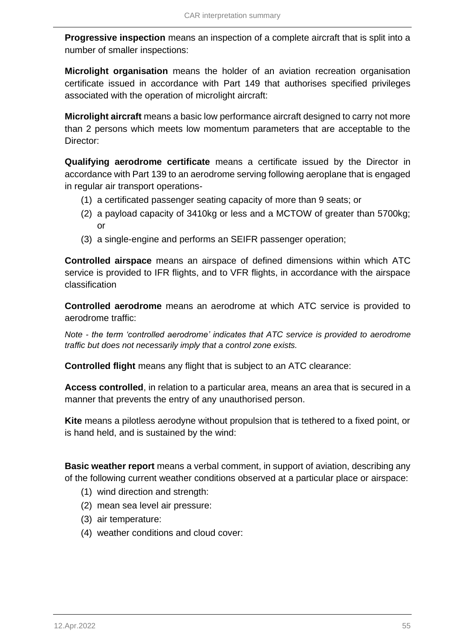**Progressive inspection** means an inspection of a complete aircraft that is split into a number of smaller inspections:

**Microlight organisation** means the holder of an aviation recreation organisation certificate issued in accordance with Part 149 that authorises specified privileges associated with the operation of microlight aircraft:

**Microlight aircraft** means a basic low performance aircraft designed to carry not more than 2 persons which meets low momentum parameters that are acceptable to the Director:

**Qualifying aerodrome certificate** means a certificate issued by the Director in accordance with Part 139 to an aerodrome serving following aeroplane that is engaged in regular air transport operations-

- (1) a certificated passenger seating capacity of more than 9 seats; or
- (2) a payload capacity of 3410kg or less and a MCTOW of greater than 5700kg; or
- (3) a single-engine and performs an SEIFR passenger operation;

**Controlled airspace** means an airspace of defined dimensions within which ATC service is provided to IFR flights, and to VFR flights, in accordance with the airspace classification

**Controlled aerodrome** means an aerodrome at which ATC service is provided to aerodrome traffic:

*Note - the term 'controlled aerodrome' indicates that ATC service is provided to aerodrome traffic but does not necessarily imply that a control zone exists.*

**Controlled flight** means any flight that is subject to an ATC clearance:

**Access controlled**, in relation to a particular area, means an area that is secured in a manner that prevents the entry of any unauthorised person.

**Kite** means a pilotless aerodyne without propulsion that is tethered to a fixed point, or is hand held, and is sustained by the wind:

**Basic weather report** means a verbal comment, in support of aviation, describing any of the following current weather conditions observed at a particular place or airspace:

- (1) wind direction and strength:
- (2) mean sea level air pressure:
- (3) air temperature:
- (4) weather conditions and cloud cover: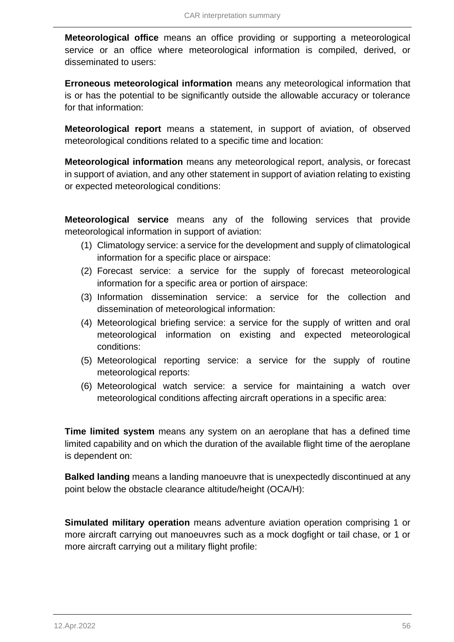**Meteorological office** means an office providing or supporting a meteorological service or an office where meteorological information is compiled, derived, or disseminated to users:

**Erroneous meteorological information** means any meteorological information that is or has the potential to be significantly outside the allowable accuracy or tolerance for that information:

**Meteorological report** means a statement, in support of aviation, of observed meteorological conditions related to a specific time and location:

**Meteorological information** means any meteorological report, analysis, or forecast in support of aviation, and any other statement in support of aviation relating to existing or expected meteorological conditions:

**Meteorological service** means any of the following services that provide meteorological information in support of aviation:

- (1) Climatology service: a service for the development and supply of climatological information for a specific place or airspace:
- (2) Forecast service: a service for the supply of forecast meteorological information for a specific area or portion of airspace:
- (3) Information dissemination service: a service for the collection and dissemination of meteorological information:
- (4) Meteorological briefing service: a service for the supply of written and oral meteorological information on existing and expected meteorological conditions:
- (5) Meteorological reporting service: a service for the supply of routine meteorological reports:
- (6) Meteorological watch service: a service for maintaining a watch over meteorological conditions affecting aircraft operations in a specific area:

**Time limited system** means any system on an aeroplane that has a defined time limited capability and on which the duration of the available flight time of the aeroplane is dependent on:

**Balked landing** means a landing manoeuvre that is unexpectedly discontinued at any point below the obstacle clearance altitude/height (OCA/H):

**Simulated military operation** means adventure aviation operation comprising 1 or more aircraft carrying out manoeuvres such as a mock dogfight or tail chase, or 1 or more aircraft carrying out a military flight profile: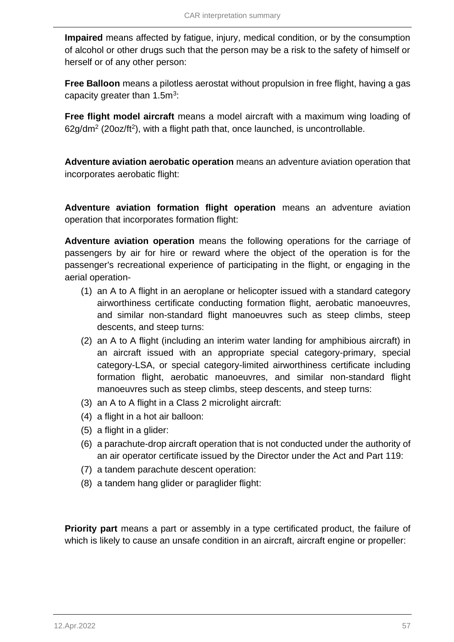**Impaired** means affected by fatigue, injury, medical condition, or by the consumption of alcohol or other drugs such that the person may be a risk to the safety of himself or herself or of any other person:

**Free Balloon** means a pilotless aerostat without propulsion in free flight, having a gas capacity greater than  $1.5m<sup>3</sup>$ :

**Free flight model aircraft** means a model aircraft with a maximum wing loading of  $62g/dm^2$  (20oz/ft<sup>2</sup>), with a flight path that, once launched, is uncontrollable.

**Adventure aviation aerobatic operation** means an adventure aviation operation that incorporates aerobatic flight:

**Adventure aviation formation flight operation** means an adventure aviation operation that incorporates formation flight:

**Adventure aviation operation** means the following operations for the carriage of passengers by air for hire or reward where the object of the operation is for the passenger's recreational experience of participating in the flight, or engaging in the aerial operation-

- (1) an A to A flight in an aeroplane or helicopter issued with a standard category airworthiness certificate conducting formation flight, aerobatic manoeuvres, and similar non-standard flight manoeuvres such as steep climbs, steep descents, and steep turns:
- (2) an A to A flight (including an interim water landing for amphibious aircraft) in an aircraft issued with an appropriate special category-primary, special category-LSA, or special category-limited airworthiness certificate including formation flight, aerobatic manoeuvres, and similar non-standard flight manoeuvres such as steep climbs, steep descents, and steep turns:
- (3) an A to A flight in a Class 2 microlight aircraft:
- (4) a flight in a hot air balloon:
- (5) a flight in a glider:
- (6) a parachute-drop aircraft operation that is not conducted under the authority of an air operator certificate issued by the Director under the Act and Part 119:
- (7) a tandem parachute descent operation:
- (8) a tandem hang glider or paraglider flight:

**Priority part** means a part or assembly in a type certificated product, the failure of which is likely to cause an unsafe condition in an aircraft, aircraft engine or propeller: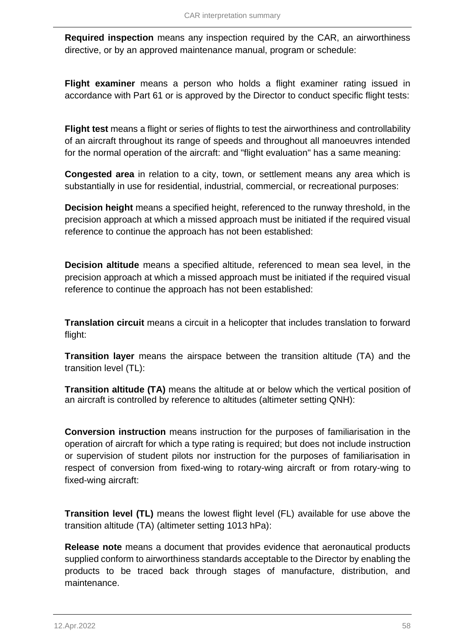**Required inspection** means any inspection required by the CAR, an airworthiness directive, or by an approved maintenance manual, program or schedule:

**Flight examiner** means a person who holds a flight examiner rating issued in accordance with Part 61 or is approved by the Director to conduct specific flight tests:

**Flight test** means a flight or series of flights to test the airworthiness and controllability of an aircraft throughout its range of speeds and throughout all manoeuvres intended for the normal operation of the aircraft: and "flight evaluation" has a same meaning:

**Congested area** in relation to a city, town, or settlement means any area which is substantially in use for residential, industrial, commercial, or recreational purposes:

**Decision height** means a specified height, referenced to the runway threshold, in the precision approach at which a missed approach must be initiated if the required visual reference to continue the approach has not been established:

**Decision altitude** means a specified altitude, referenced to mean sea level, in the precision approach at which a missed approach must be initiated if the required visual reference to continue the approach has not been established:

**Translation circuit** means a circuit in a helicopter that includes translation to forward flight:

**Transition layer** means the airspace between the transition altitude (TA) and the transition level (TL):

**Transition altitude (TA)** means the altitude at or below which the vertical position of an aircraft is controlled by reference to altitudes (altimeter setting QNH):

**Conversion instruction** means instruction for the purposes of familiarisation in the operation of aircraft for which a type rating is required; but does not include instruction or supervision of student pilots nor instruction for the purposes of familiarisation in respect of conversion from fixed-wing to rotary-wing aircraft or from rotary-wing to fixed-wing aircraft:

**Transition level (TL)** means the lowest flight level (FL) available for use above the transition altitude (TA) (altimeter setting 1013 hPa):

**Release note** means a document that provides evidence that aeronautical products supplied conform to airworthiness standards acceptable to the Director by enabling the products to be traced back through stages of manufacture, distribution, and maintenance.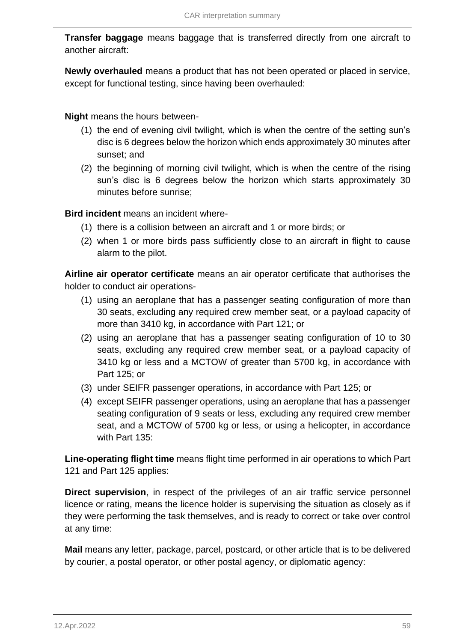**Transfer baggage** means baggage that is transferred directly from one aircraft to another aircraft:

**Newly overhauled** means a product that has not been operated or placed in service, except for functional testing, since having been overhauled:

**Night** means the hours between-

- (1) the end of evening civil twilight, which is when the centre of the setting sun's disc is 6 degrees below the horizon which ends approximately 30 minutes after sunset; and
- (2) the beginning of morning civil twilight, which is when the centre of the rising sun's disc is 6 degrees below the horizon which starts approximately 30 minutes before sunrise;

**Bird incident** means an incident where-

- (1) there is a collision between an aircraft and 1 or more birds; or
- (2) when 1 or more birds pass sufficiently close to an aircraft in flight to cause alarm to the pilot.

**Airline air operator certificate** means an air operator certificate that authorises the holder to conduct air operations-

- (1) using an aeroplane that has a passenger seating configuration of more than 30 seats, excluding any required crew member seat, or a payload capacity of more than 3410 kg, in accordance with Part 121; or
- (2) using an aeroplane that has a passenger seating configuration of 10 to 30 seats, excluding any required crew member seat, or a payload capacity of 3410 kg or less and a MCTOW of greater than 5700 kg, in accordance with Part 125; or
- (3) under SEIFR passenger operations, in accordance with Part 125; or
- (4) except SEIFR passenger operations, using an aeroplane that has a passenger seating configuration of 9 seats or less, excluding any required crew member seat, and a MCTOW of 5700 kg or less, or using a helicopter, in accordance with Part 135:

**Line-operating flight time** means flight time performed in air operations to which Part 121 and Part 125 applies:

**Direct supervision**, in respect of the privileges of an air traffic service personnel licence or rating, means the licence holder is supervising the situation as closely as if they were performing the task themselves, and is ready to correct or take over control at any time:

**Mail** means any letter, package, parcel, postcard, or other article that is to be delivered by courier, a postal operator, or other postal agency, or diplomatic agency: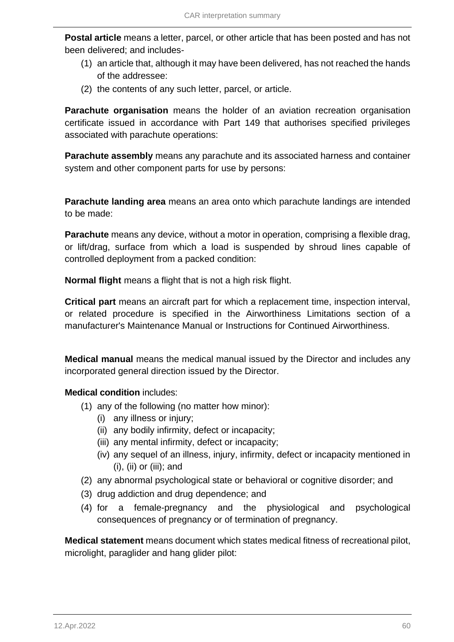**Postal article** means a letter, parcel, or other article that has been posted and has not been delivered; and includes-

- (1) an article that, although it may have been delivered, has not reached the hands of the addressee:
- (2) the contents of any such letter, parcel, or article.

**Parachute organisation** means the holder of an aviation recreation organisation certificate issued in accordance with Part 149 that authorises specified privileges associated with parachute operations:

**Parachute assembly** means any parachute and its associated harness and container system and other component parts for use by persons:

**Parachute landing area** means an area onto which parachute landings are intended to be made:

**Parachute** means any device, without a motor in operation, comprising a flexible drag, or lift/drag, surface from which a load is suspended by shroud lines capable of controlled deployment from a packed condition:

**Normal flight** means a flight that is not a high risk flight.

**Critical part** means an aircraft part for which a replacement time, inspection interval, or related procedure is specified in the Airworthiness Limitations section of a manufacturer's Maintenance Manual or Instructions for Continued Airworthiness.

**Medical manual** means the medical manual issued by the Director and includes any incorporated general direction issued by the Director.

# **Medical condition** includes:

- (1) any of the following (no matter how minor):
	- (i) any illness or injury;
	- (ii) any bodily infirmity, defect or incapacity;
	- (iii) any mental infirmity, defect or incapacity;
	- (iv) any sequel of an illness, injury, infirmity, defect or incapacity mentioned in  $(i)$ ,  $(ii)$  or  $(iii)$ ; and
- (2) any abnormal psychological state or behavioral or cognitive disorder; and
- (3) drug addiction and drug dependence; and
- (4) for a female-pregnancy and the physiological and psychological consequences of pregnancy or of termination of pregnancy.

**Medical statement** means document which states medical fitness of recreational pilot, microlight, paraglider and hang glider pilot: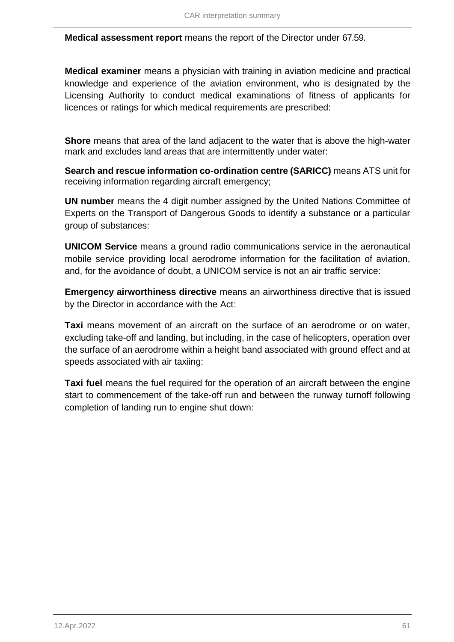**Medical assessment report** means the report of the Director under 67.59.

**Medical examiner** means a physician with training in aviation medicine and practical knowledge and experience of the aviation environment, who is designated by the Licensing Authority to conduct medical examinations of fitness of applicants for licences or ratings for which medical requirements are prescribed:

**Shore** means that area of the land adjacent to the water that is above the high-water mark and excludes land areas that are intermittently under water:

**Search and rescue information co-ordination centre (SARICC)** means ATS unit for receiving information regarding aircraft emergency;

**UN number** means the 4 digit number assigned by the United Nations Committee of Experts on the Transport of Dangerous Goods to identify a substance or a particular group of substances:

**UNICOM Service** means a ground radio communications service in the aeronautical mobile service providing local aerodrome information for the facilitation of aviation, and, for the avoidance of doubt, a UNICOM service is not an air traffic service:

**Emergency airworthiness directive** means an airworthiness directive that is issued by the Director in accordance with the Act:

**Taxi** means movement of an aircraft on the surface of an aerodrome or on water, excluding take-off and landing, but including, in the case of helicopters, operation over the surface of an aerodrome within a height band associated with ground effect and at speeds associated with air taxiing:

**Taxi fuel** means the fuel required for the operation of an aircraft between the engine start to commencement of the take-off run and between the runway turnoff following completion of landing run to engine shut down: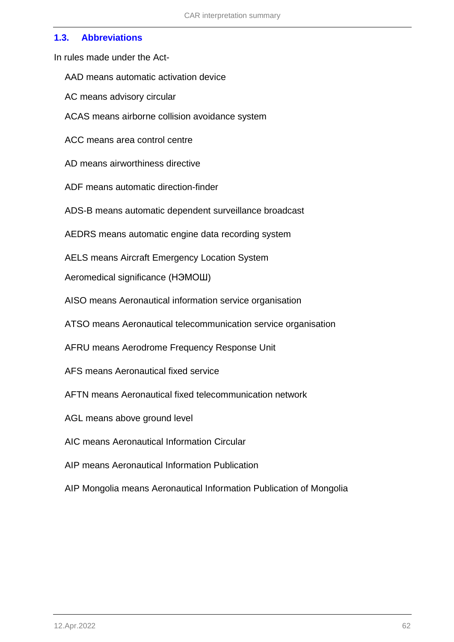### **1.3. Abbreviations**

In rules made under the Act-

AAD means automatic activation device

AC means advisory circular

ACAS means airborne collision avoidance system

ACC means area control centre

AD means airworthiness directive

ADF means automatic direction-finder

ADS-B means automatic dependent surveillance broadcast

AEDRS means automatic engine data recording system

AELS means Aircraft Emergency Location System

Aeromedical significance (НЭМОШ)

AISO means Aeronautical information service organisation

ATSO means Aeronautical telecommunication service organisation

AFRU means Aerodrome Frequency Response Unit

AFS means Aeronautical fixed service

AFTN means Aeronautical fixed telecommunication network

AGL means above ground level

AIC means Aeronautical Information Circular

AIP means Aeronautical Information Publication

AIP Mongolia means Aeronautical Information Publication of Mongolia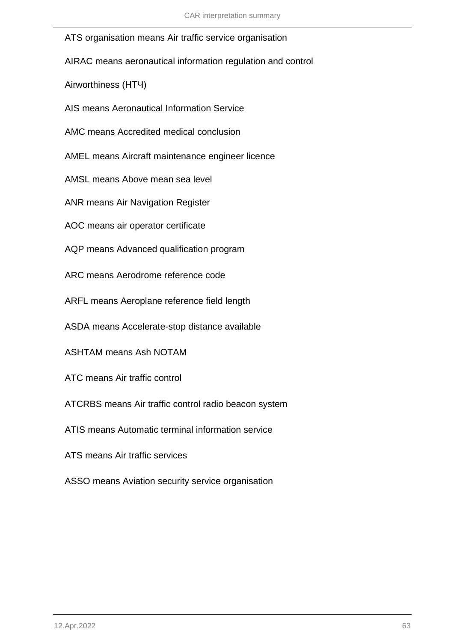ATS organisation means Air traffic service organisation

AIRAC means aeronautical information regulation and control

Airworthiness (НТЧ)

AIS means Aeronautical Information Service

AMC means Accredited medical conclusion

AMEL means Aircraft maintenance engineer licence

AMSL means Above mean sea level

ANR means Air Navigation Register

AOC means air operator certificate

AQP means Advanced qualification program

ARC means Aerodrome reference code

ARFL means Aeroplane reference field length

ASDA means Accelerate-stop distance available

ASHTAM means Ash NOTAM

ATC means Air traffic control

ATCRBS means Air traffic control radio beacon system

ATIS means Automatic terminal information service

ATS means Air traffic services

ASSO means Aviation security service organisation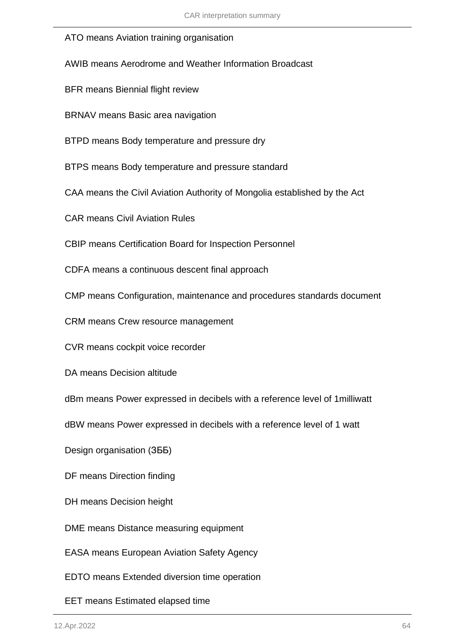#### ATO means Aviation training organisation

AWIB means Aerodrome and Weather Information Broadcast

BFR means Biennial flight review

BRNAV means Basic area navigation

BTPD means Body temperature and pressure dry

BTPS means Body temperature and pressure standard

CAA means the Civil Aviation Authority of Mongolia established by the Act

CAR means Civil Aviation Rules

CBIP means Certification Board for Inspection Personnel

CDFA means a continuous descent final approach

CMP means Configuration, maintenance and procedures standards document

CRM means Crew resource management

CVR means cockpit voice recorder

DA means Decision altitude

dBm means Power expressed in decibels with a reference level of 1milliwatt

dBW means Power expressed in decibels with a reference level of 1 watt

Design organisation (ЗББ)

DF means Direction finding

DH means Decision height

DME means Distance measuring equipment

EASA means European Aviation Safety Agency

EDTO means Extended diversion time operation

EET means Estimated elapsed time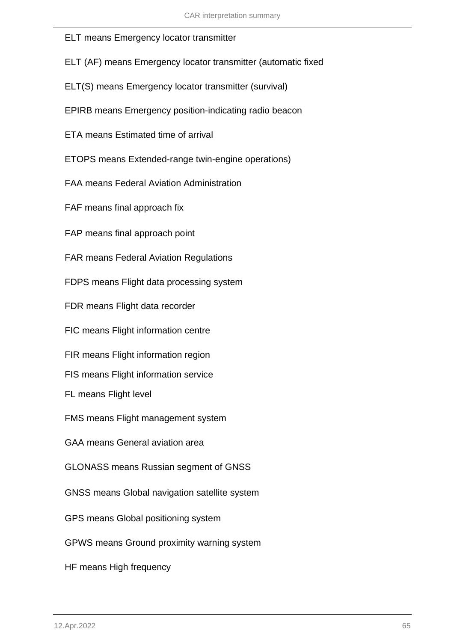### ELT means Emergency locator transmitter

|  |  |  |  |  |  | ELT (AF) means Emergency locator transmitter (automatic fixed |
|--|--|--|--|--|--|---------------------------------------------------------------|
|--|--|--|--|--|--|---------------------------------------------------------------|

ELT(S) means Emergency locator transmitter (survival)

EPIRB means Emergency position-indicating radio beacon

ETA means Estimated time of arrival

ETOPS means Extended-range twin-engine operations)

FAA means Federal Aviation Administration

FAF means final approach fix

FAP means final approach point

FAR means Federal Aviation Regulations

FDPS means Flight data processing system

FDR means Flight data recorder

FIC means Flight information centre

FIR means Flight information region

FIS means Flight information service

FL means Flight level

FMS means Flight management system

GAA means General aviation area

GLONASS means Russian segment of GNSS

GNSS means Global navigation satellite system

GPS means Global positioning system

GPWS means Ground proximity warning system

HF means High frequency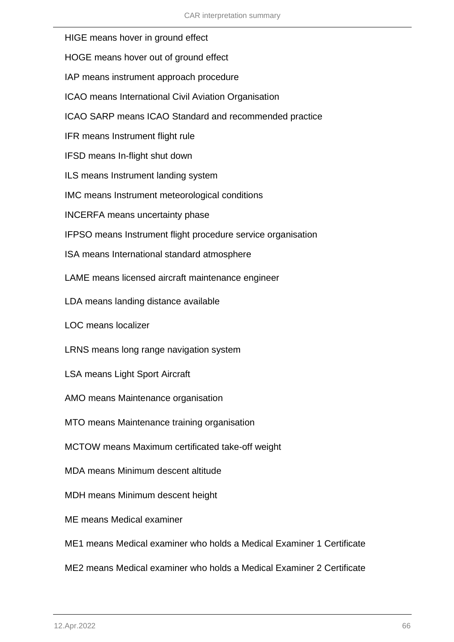- HIGE means hover in ground effect
- HOGE means hover out of ground effect
- IAP means instrument approach procedure
- ICAO means International Civil Aviation Organisation
- ICAO SARP means ICAO Standard and recommended practice
- IFR means Instrument flight rule
- IFSD means In-flight shut down
- ILS means Instrument landing system
- IMC means Instrument meteorological conditions
- INCERFA means uncertainty phase
- IFPSO means Instrument flight procedure service organisation
- ISA means International standard atmosphere
- LAME means licensed aircraft maintenance engineer
- LDA means landing distance available
- LOC means localizer
- LRNS means long range navigation system
- LSA means Light Sport Aircraft
- AMO means Maintenance organisation
- MTO means Maintenance training organisation
- MCTOW means Maximum certificated take-off weight
- MDA means Minimum descent altitude
- MDH means Minimum descent height
- ME means Medical examiner
- ME1 means Medical examiner who holds a Medical Examiner 1 Certificate
- ME2 means Medical examiner who holds a Medical Examiner 2 Certificate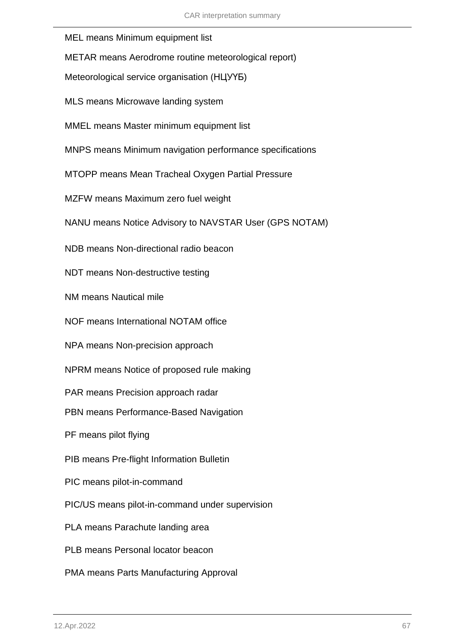- MEL means Minimum equipment list
- METAR means Aerodrome routine meteorological report)
- Meteorological service organisation (НЦУҮБ)
- MLS means Microwave landing system
- MMEL means Master minimum equipment list
- MNPS means Minimum navigation performance specifications
- MTOPP means Mean Tracheal Oxygen Partial Pressure
- MZFW means Maximum zero fuel weight
- NANU means Notice Advisory to NAVSTAR User (GPS NOTAM)
- NDB means Non-directional radio beacon
- NDT means Non-destructive testing
- NM means Nautical mile
- NOF means International NOTAM office
- NPA means Non-precision approach
- NPRM means Notice of proposed rule making
- PAR means Precision approach radar
- PBN means Performance-Based Navigation
- PF means pilot flying
- PIB means Pre-flight Information Bulletin
- PIC means pilot-in-command
- PIC/US means pilot-in-command under supervision
- PLA means Parachute landing area
- PLB means Personal locator beacon
- PMA means Parts Manufacturing Approval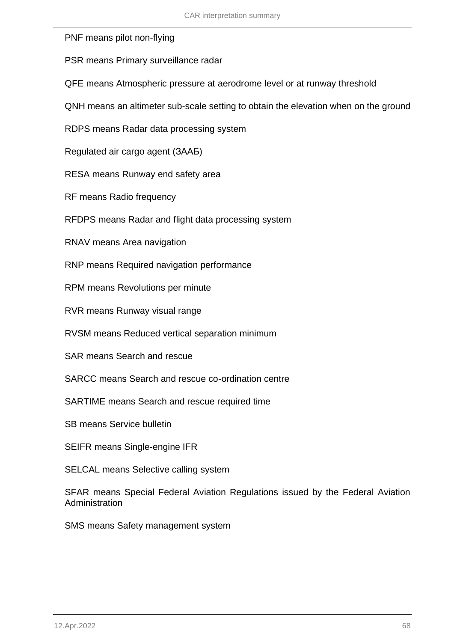PNF means pilot non-flying

PSR means Primary surveillance radar

QFE means Atmospheric pressure at aerodrome level or at runway threshold

QNH means an altimeter sub-scale setting to obtain the elevation when on the ground

RDPS means Radar data processing system

Regulated air cargo agent (ЗААБ)

RESA means Runway end safety area

RF means Radio frequency

RFDPS means Radar and flight data processing system

RNAV means Area navigation

RNP means Required navigation performance

RPM means Revolutions per minute

RVR means Runway visual range

RVSM means Reduced vertical separation minimum

SAR means Search and rescue

SARCC means Search and rescue co-ordination centre

SARTIME means Search and rescue required time

SB means Service bulletin

SEIFR means Single-engine IFR

SELCAL means Selective calling system

SFAR means Special Federal Aviation Regulations issued by the Federal Aviation **Administration** 

SMS means Safety management system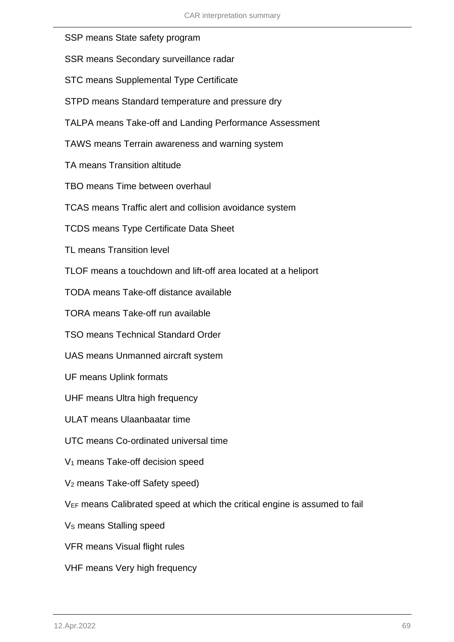| SSP means State safety program                                                         |
|----------------------------------------------------------------------------------------|
| SSR means Secondary surveillance radar                                                 |
| <b>STC means Supplemental Type Certificate</b>                                         |
| STPD means Standard temperature and pressure dry                                       |
| TALPA means Take-off and Landing Performance Assessment                                |
| TAWS means Terrain awareness and warning system                                        |
| TA means Transition altitude                                                           |
| TBO means Time between overhaul                                                        |
| TCAS means Traffic alert and collision avoidance system                                |
| <b>TCDS means Type Certificate Data Sheet</b>                                          |
| <b>TL means Transition level</b>                                                       |
| TLOF means a touchdown and lift-off area located at a heliport                         |
| TODA means Take-off distance available                                                 |
| TORA means Take-off run available                                                      |
| <b>TSO means Technical Standard Order</b>                                              |
| UAS means Unmanned aircraft system                                                     |
| <b>UF means Uplink formats</b>                                                         |
| UHF means Ultra high frequency                                                         |
| <b>ULAT means Ulaanbaatar time</b>                                                     |
| UTC means Co-ordinated universal time                                                  |
| V <sub>1</sub> means Take-off decision speed                                           |
| V <sub>2</sub> means Take-off Safety speed)                                            |
| V <sub>EF</sub> means Calibrated speed at which the critical engine is assumed to fail |
| V <sub>s</sub> means Stalling speed                                                    |
| VFR means Visual flight rules                                                          |
| VHF means Very high frequency                                                          |